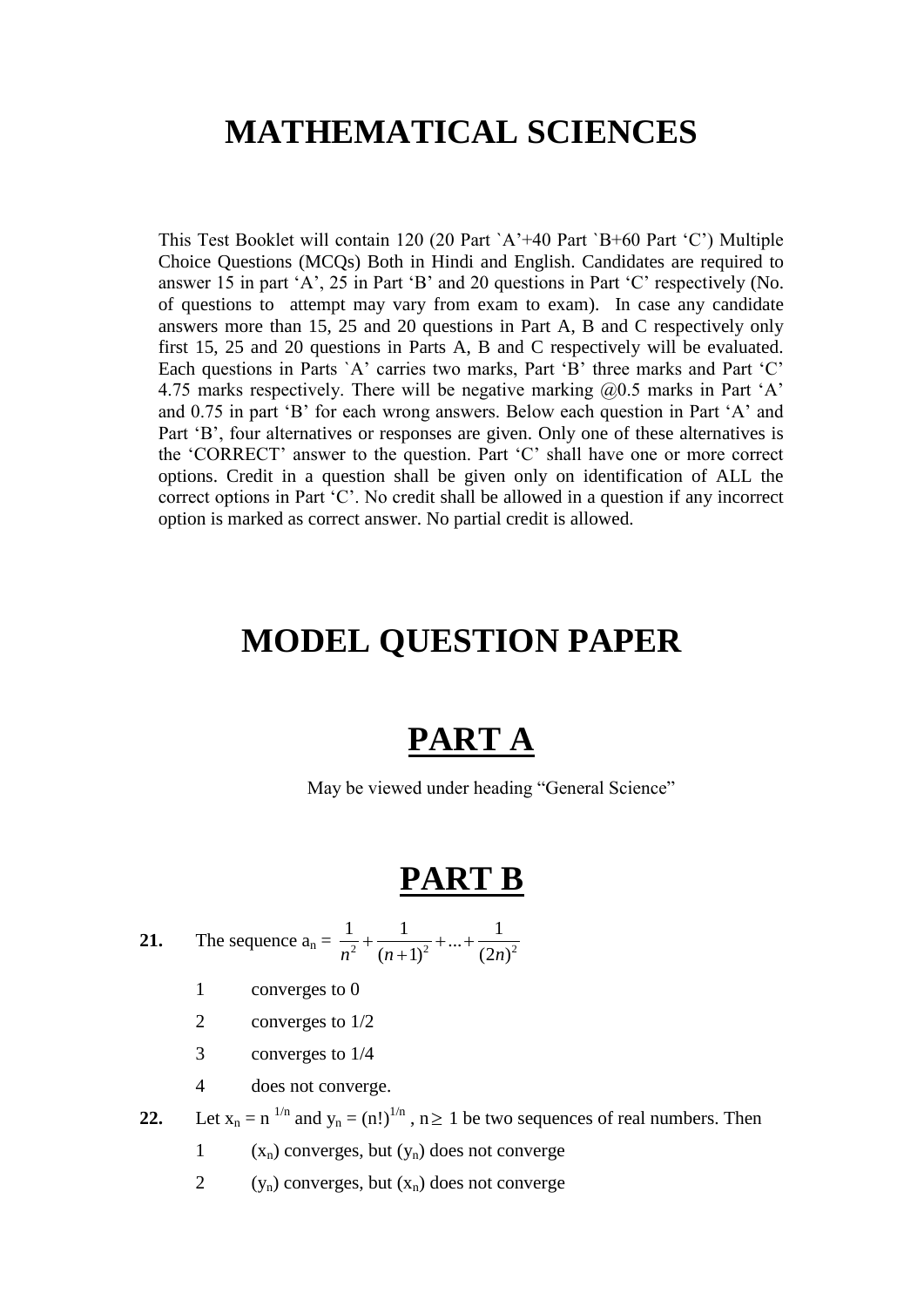# **MATHEMATICAL SCIENCES**

This Test Booklet will contain 120 (20 Part `A"+40 Part `B+60 Part "C") Multiple Choice Questions (MCQs) Both in Hindi and English. Candidates are required to answer 15 in part "A", 25 in Part "B" and 20 questions in Part "C" respectively (No. of questions to attempt may vary from exam to exam). In case any candidate answers more than 15, 25 and 20 questions in Part A, B and C respectively only first 15, 25 and 20 questions in Parts A, B and C respectively will be evaluated. Each questions in Parts `A' carries two marks, Part 'B' three marks and Part 'C' 4.75 marks respectively. There will be negative marking  $(20.5 \text{ marks in Part } A)$ and 0.75 in part "B" for each wrong answers. Below each question in Part "A" and Part 'B', four alternatives or responses are given. Only one of these alternatives is the "CORRECT" answer to the question. Part "C" shall have one or more correct options. Credit in a question shall be given only on identification of ALL the correct options in Part "C". No credit shall be allowed in a question if any incorrect option is marked as correct answer. No partial credit is allowed.

# **MODEL QUESTION PAPER**

# **PART A**

May be viewed under heading "General Science"

## **PART B**

**21.** The sequence  $a_n = \frac{1}{n^2} + \frac{1}{(n+1)^2} + ... + \frac{1}{(2n)^2}$  $\frac{1}{n^2} + \frac{1}{(n+1)^2} + \dots + \frac{1}{(2n)}$  $+\frac{1}{(n+1)^2}+...+\frac{1}{(2)}$ 

- 1 converges to 0
- 2 converges to 1/2
- 3 converges to 1/4
- 4 does not converge.

**22.** Let  $x_n = n^{-1/n}$  and  $y_n = (n!)^{1/n}$ ,  $n \ge 1$  be two sequences of real numbers. Then

- 1  $(x_n)$  converges, but  $(y_n)$  does not converge
- 2  $(y_n)$  converges, but  $(x_n)$  does not converge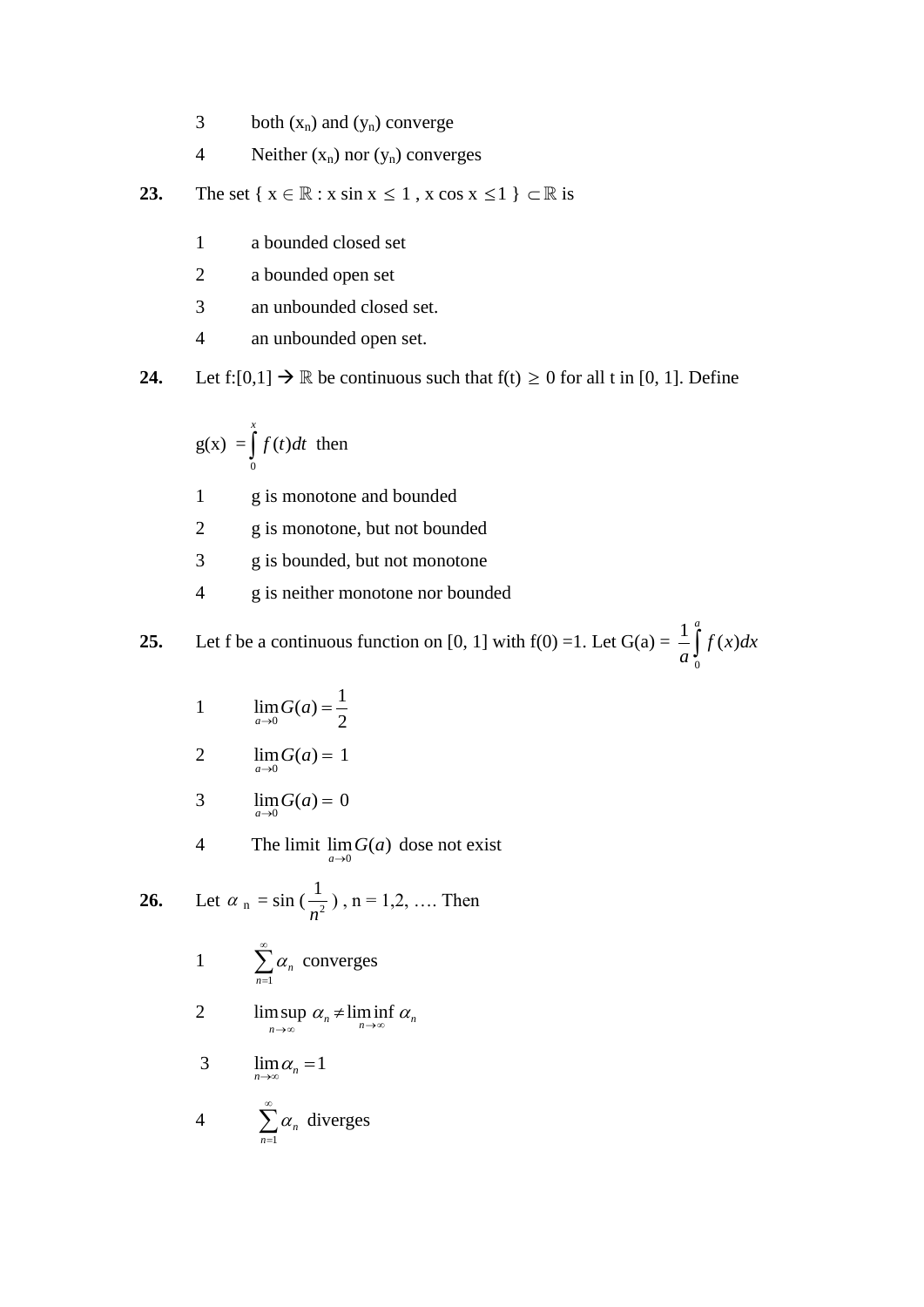- 3 both  $(x_n)$  and  $(y_n)$  converge
- 4 Neither  $(x_n)$  nor  $(y_n)$  converges
- **23.** The set  $\{x \in \mathbb{R} : x \sin x \leq 1, x \cos x \leq 1\} \subset \mathbb{R}$  is
	- 1 a bounded closed set
	- 2 a bounded open set
	- 3 an unbounded closed set.
	- 4 an unbounded open set.

**24.** Let  $f:[0,1] \to \mathbb{R}$  be continuous such that  $f(t) \ge 0$  for all t in [0, 1]. Define

$$
g(x) = \int_{0}^{x} f(t)dt
$$
 then

- 1 g is monotone and bounded
- 2 g is monotone, but not bounded
- 3 g is bounded, but not monotone
- 4 g is neither monotone nor bounded

25. Let f be a continuous function on [0, 1] with f(0) =1. Let G(a) = 
$$
\frac{1}{a} \int_{0}^{a} f(x) dx
$$

- 1  $\boldsymbol{0}$  $\lim_{a \to 0} G(a) = \frac{1}{2}$  $\lim_{a\to 0} S(x)$  2  $\lim_{a \to 0} G(a) =$
- 2  $\lim_{a \to 0} G(a) = 1$
- 3  $\lim_{a \to 0} G(a) = 0$
- 4 The limit  $\lim_{a \to 0} G(a)$  dose not exist

**26.** Let 
$$
\alpha_n = \sin(\frac{1}{n^2})
$$
,  $n = 1, 2, ...$  Then

1 
$$
\sum_{n=1}^{\infty} \alpha_n
$$
 converges

2  $\limsup_{n\to\infty} \alpha_n \neq \liminf_{n\to\infty} \alpha_n$  $\lim_{n\to\infty} \alpha_n + \lim_{n\to\infty}$  $\neq$ 

$$
3 \qquad \lim_{n \to \infty} \alpha_n = 1
$$

4 
$$
\sum_{n=1}^{\infty} \alpha_n \text{ diverges}
$$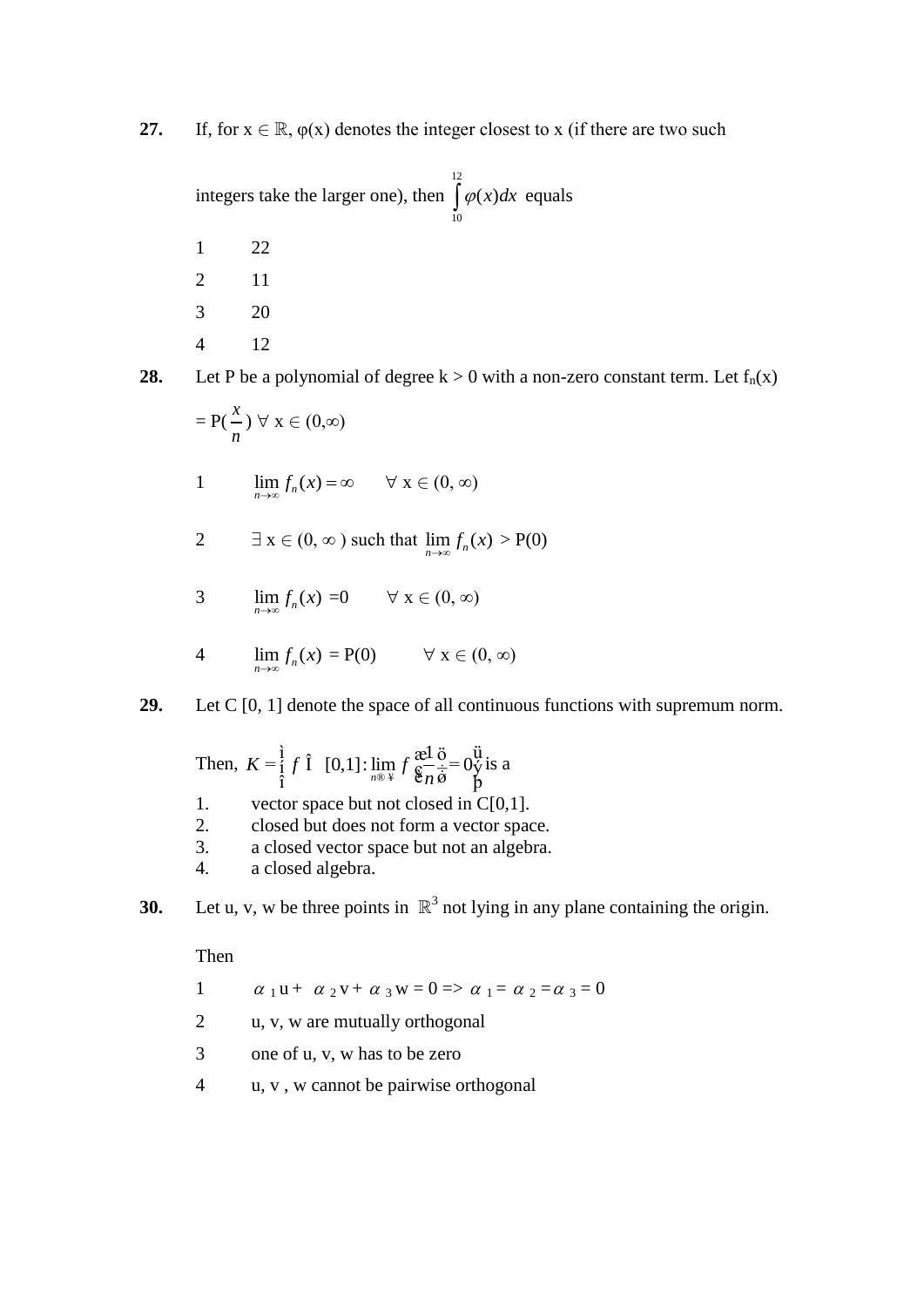**27.** If, for  $x \in \mathbb{R}$ ,  $\varphi(x)$  denotes the integer closest to x (if there are two such

|   | integers take the larger one), then $\int \varphi(x) dx$ equals | 10 |  |
|---|-----------------------------------------------------------------|----|--|
|   | 22                                                              |    |  |
|   | 11                                                              |    |  |
| 3 | 20                                                              |    |  |
|   |                                                                 |    |  |

**28.** Let P be a polynomial of degree  $k > 0$  with a non-zero constant term. Let  $f_n(x)$ 

$$
=P(\frac{x}{n}) \ \forall \ x \in (0,\infty)
$$

1 
$$
\lim_{n \to \infty} f_n(x) = \infty \quad \forall x \in (0, \infty)
$$

- 2  $\exists x \in (0, \infty)$  such that  $\lim_{n \to \infty} f_n(x) > P(0)$
- 3  $\lim_{n \to \infty} f_n(x) = 0 \quad \forall x \in (0, \infty)$

4 
$$
\lim_{n\to\infty} f_n(x) = P(0) \qquad \forall x \in (0, \infty)
$$

**29.** Let C [0, 1] denote the space of all continuous functions with supremum norm.

Then, 
$$
K = \frac{1}{i} f \hat{I}
$$
 [0,1]:  $\lim_{n \to \infty} f \frac{\text{ad}}{\hat{\textbf{g}}_n \dot{\vec{\textbf{g}}}} = 0 \ddot{\textbf{y}} \text{ is a}$ 

- 1. vector space but not closed in  $C[0,1]$ .
- 2. closed but does not form a vector space.
- 3. a closed vector space but not an algebra.
- 4. a closed algebra.
- **30.** Let u, v, w be three points in  $\mathbb{R}^3$  not lying in any plane containing the origin.

Then

- 1  $\alpha_1$ **u** +  $\alpha_2$ **v** +  $\alpha_3$ **w** = 0 =>  $\alpha_1$  =  $\alpha_2$  =  $\alpha_3$  = 0
- 2 u, v, w are mutually orthogonal
- 3 one of u, v, w has to be zero
- 4 u, v , w cannot be pairwise orthogonal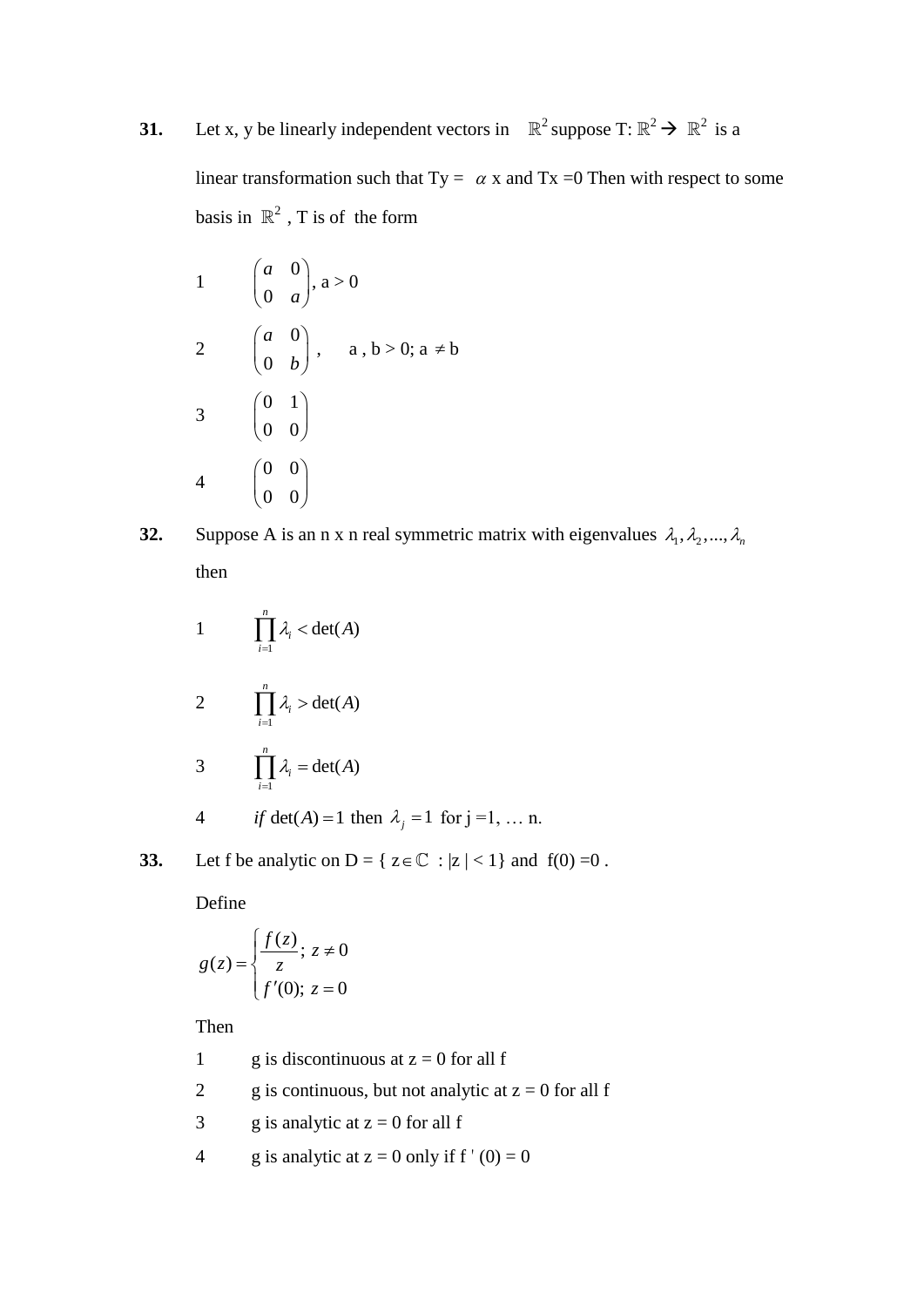## **31.** Let x, y be linearly independent vectors in  $\mathbb{R}^2$  suppose T:  $\mathbb{R}^2 \to \mathbb{R}^2$  is a

linear transformation such that  $Ty = \alpha x$  and  $Tx = 0$  Then with respect to some basis in  $\mathbb{R}^2$ , T is of the form

- 1  $\boldsymbol{0}$ 0 *a*  $\begin{pmatrix} a & 0 \\ 0 & a \end{pmatrix}$  $a > 0$ 2 0  $\boldsymbol{0}$ *a*  $\begin{pmatrix} a & 0 \\ 0 & b \end{pmatrix}$  $, a, b > 0; a \neq b$ 3 0 1  $\begin{pmatrix} 0 & 1 \\ 0 & 0 \end{pmatrix}$ 4 0 0  $\begin{pmatrix} 0 & 0 \ 0 & 0 \end{pmatrix}$
- **32.** Suppose A is an n x n real symmetric matrix with eigenvalues  $\lambda_1, \lambda_2, ..., \lambda_n$ then
	- 1 1  $det(A)$ *n i i*  $\lambda_i$  < det(A  $\prod_{i=1} \lambda_i <$ 2 1  $det(A)$ *n i i*  $\lambda_i > \det(A)$  $\prod_{i=1} \lambda_i >$ 3 1  $det(A)$ *n i i*  $\lambda_i = \det(A)$  $\prod_{i=1} \lambda_i =$ 4 *if*  $det(A) = 1$  then  $\lambda_j = 1$  for  $j = 1, \dots n$ .
- **33.** Let f be analytic on  $D = \{ z \in \mathbb{C} : |z| < 1 \}$  and  $f(0) = 0$ .

Define

$$
g(z) = \begin{cases} \frac{f(z)}{z}; z \neq 0\\ f'(0); z = 0 \end{cases}
$$

Then

1 g is discontinuous at  $z = 0$  for all f 2 g is continuous, but not analytic at  $z = 0$  for all f

- 3 g is analytic at  $z = 0$  for all f
- 4 g is analytic at  $z = 0$  only if  $f'(0) = 0$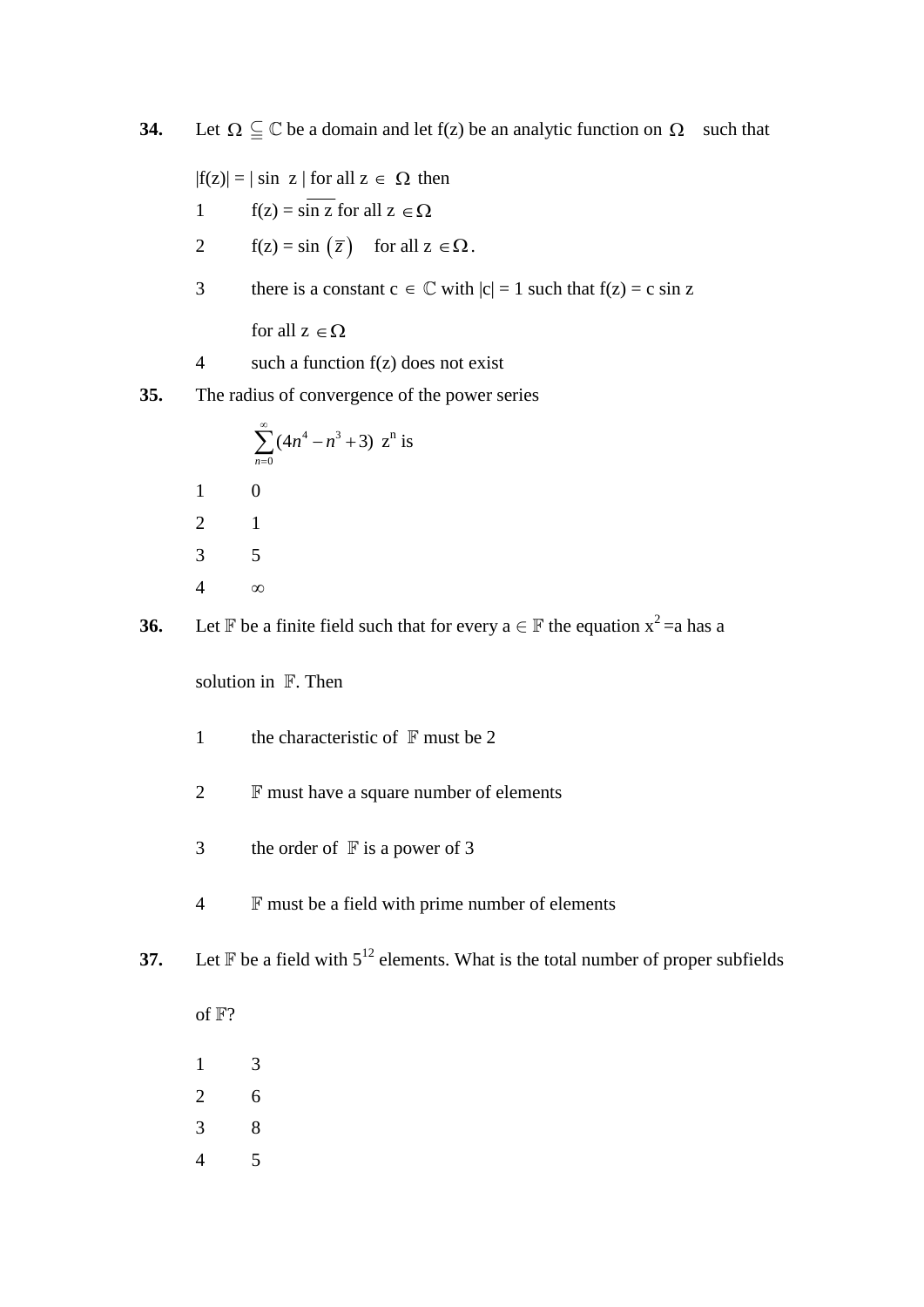**34.** Let  $\Omega \subseteq \mathbb{C}$  be a domain and let  $f(z)$  be an analytic function on  $\Omega$  such that

 $|f(z)| = |\sin z|$  for all  $z \in \Omega$  then

1 
$$
f(z) = \sin z
$$
 for all  $z \in \Omega$ 

- 2  $f(z) = \sin\left(\overline{z}\right)$  for all  $z \in \Omega$ .
- 3 there is a constant  $c \in \mathbb{C}$  with  $|c| = 1$  such that  $f(z) = c \sin z$

for all  $z \in \Omega$ 

- 4 such a function  $f(z)$  does not exist
- **35.** The radius of convergence of the power series

|                | $\sum (4n^4 - n^3 + 3) z^n$ is<br>$n=0$ |
|----------------|-----------------------------------------|
| $\mathbf{1}$   | 0                                       |
| $\overline{2}$ |                                         |
| 3              | 5                                       |
|                | х.                                      |

**36.** Let  $\mathbb F$  be a finite field such that for every  $a \in \mathbb F$  the equation  $x^2 = a$  has a

solution in  $\mathbb F$ . Then

- 1 the characteristic of  $\mathbb F$  must be 2
- 2  $\mathbb F$  must have a square number of elements
- 3 the order of  $\mathbb F$  is a power of 3
- 4 **F** must be a field with prime number of elements

**37.** Let  $\mathbb F$  be a field with  $5^{12}$  elements. What is the total number of proper subfields

- of  $\mathbb{F}$ ? 1 3 2 6
- 3 8
- 4 5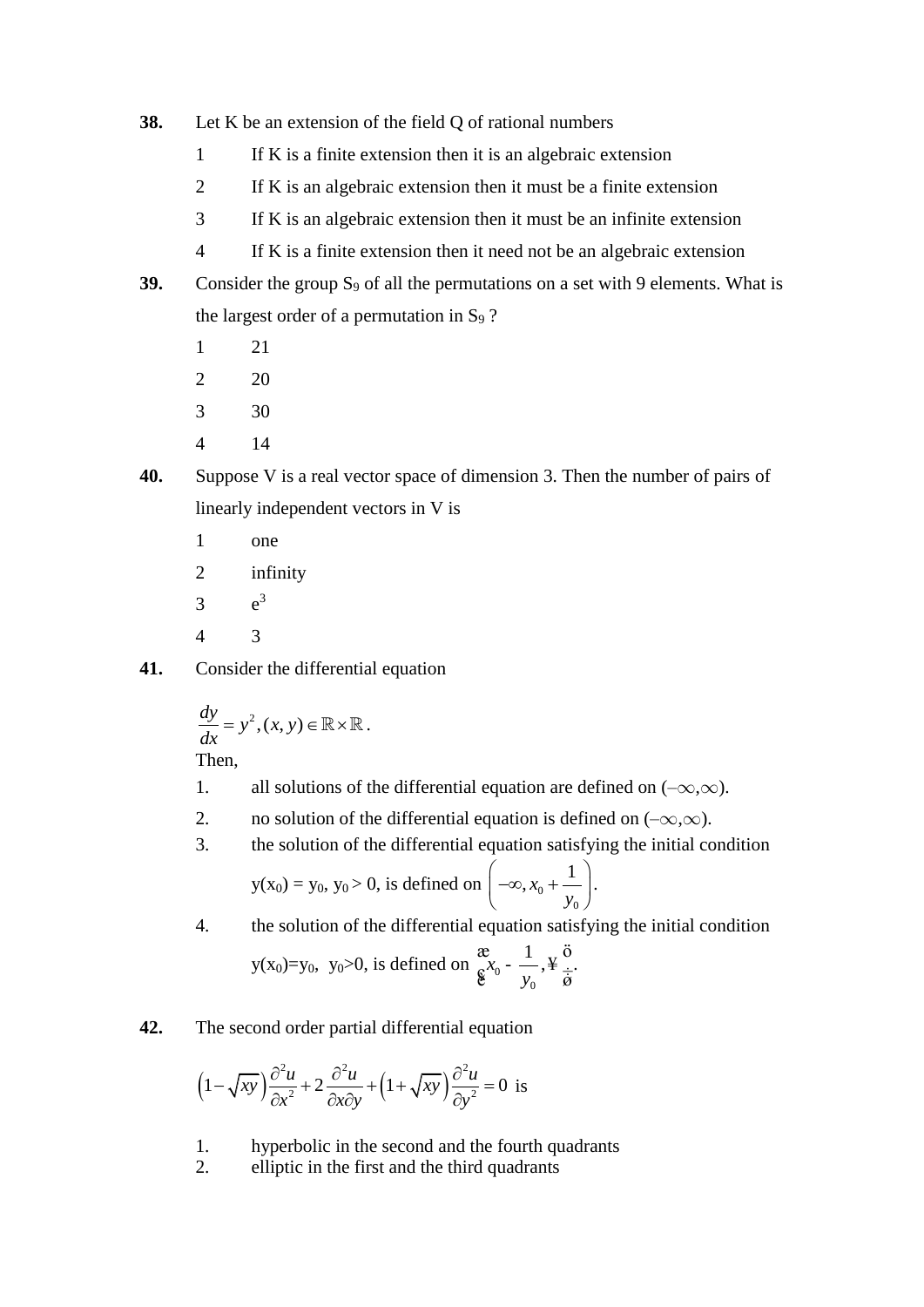- **38.** Let K be an extension of the field Q of rational numbers
	- 1 If K is a finite extension then it is an algebraic extension
	- 2 If K is an algebraic extension then it must be a finite extension
	- 3 If K is an algebraic extension then it must be an infinite extension
	- 4 If K is a finite extension then it need not be an algebraic extension
- **39.** Consider the group  $S_9$  of all the permutations on a set with 9 elements. What is the largest order of a permutation in  $S_9$  ?
	- 1 21
	- 2 20
	- 3 30
	- 4 14
- **40.** Suppose V is a real vector space of dimension 3. Then the number of pairs of linearly independent vectors in V is
	- 1 one
	- 2 infinity
	- $\overline{3}$  $e^3$
	- 4 3
- **41.** Consider the differential equation

$$
\frac{dy}{dx} = y^2, (x, y) \in \mathbb{R} \times \mathbb{R}.
$$

Then,

- 1. all solutions of the differential equation are defined on  $(-\infty,\infty)$ .
- 2. no solution of the differential equation is defined on  $(-\infty,\infty)$ .
- 3. the solution of the differential equation satisfying the initial condition

$$
y(x_0) = y_0, y_0 > 0
$$
, is defined on  $\left(-\infty, x_0 + \frac{1}{y_0}\right)$ .

4. the solution of the differential equation satisfying the initial condition

$$
y(x_0)=y_0
$$
,  $y_0>0$ , is defined on  $\underset{\mathfrak{G}}{\mathfrak{E}} x_0 - \frac{1}{y_0}, \underset{\mathfrak{H}}{\mathfrak{E}} \underset{\mathfrak{G}}{\overset{\bullet}{\mathfrak{G}}}$ .

**42.** The second order partial differential equation

$$
\left(1 - \sqrt{xy}\right) \frac{\partial^2 u}{\partial x^2} + 2 \frac{\partial^2 u}{\partial x \partial y} + \left(1 + \sqrt{xy}\right) \frac{\partial^2 u}{\partial y^2} = 0
$$
 is

- 1. hyperbolic in the second and the fourth quadrants
- 2. elliptic in the first and the third quadrants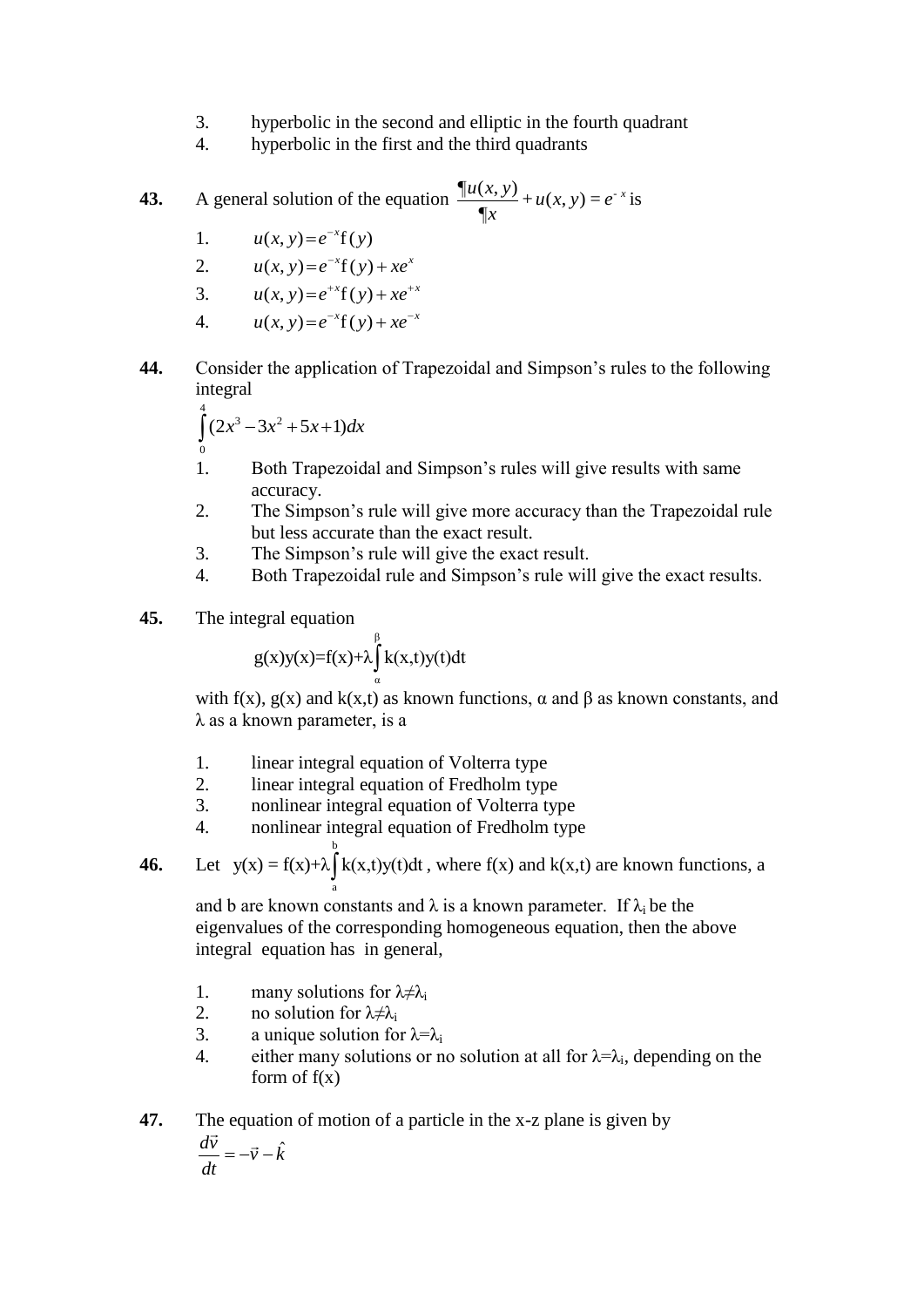- 3. hyperbolic in the second and elliptic in the fourth quadrant
- 4. hyperbolic in the first and the third quadrants

**43.** A general solution of the equation 
$$
\frac{\P u(x, y)}{\P x} + u(x, y) = e^{-x}
$$
 is

- 1.  $u(x, y) = e^{-x}f(y)$
- 2.  $u(x, y) = e^{-x}f(y) + xe^{x}$
- 3.  $u(x, y) = e^{+x} f(y) + x e^{+x}$
- 4.  $u(x, y) = e^{-x}f(y) + xe^{-x}$
- **44.** Consider the application of Trapezoidal and Simpson"s rules to the following integral

$$
\int_{0}^{4} (2x^3 - 3x^2 + 5x + 1) dx
$$

- 1. Both Trapezoidal and Simpson"s rules will give results with same accuracy.
- 2. The Simpson"s rule will give more accuracy than the Trapezoidal rule but less accurate than the exact result.
- 3. The Simpson"s rule will give the exact result.
- 4. Both Trapezoidal rule and Simpson"s rule will give the exact results.
- **45.** The integral equation

$$
g(x)y(x)=f(x)+\lambda\int_{\alpha}^{\beta}k(x,t)y(t)dt
$$

with f(x),  $g(x)$  and k(x,t) as known functions,  $\alpha$  and  $\beta$  as known constants, and λ as a known parameter, is a

- 1. linear integral equation of Volterra type
- 2. linear integral equation of Fredholm type
- 3. nonlinear integral equation of Volterra type
- 4. nonlinear integral equation of Fredholm type

**46.** Let 
$$
y(x) = f(x) + \lambda \int_{a}^{b} k(x,t)y(t)dt
$$
, where  $f(x)$  and  $k(x,t)$  are known functions, a

and b are known constants and  $\lambda$  is a known parameter. If  $\lambda_i$  be the eigenvalues of the corresponding homogeneous equation, then the above integral equation has in general,

- 1. many solutions for  $\lambda \neq \lambda_i$
- 2. no solution for  $\lambda \neq \lambda_i$ <br>3. a unique solution for
- a unique solution for  $\lambda = \lambda_i$
- 4. either many solutions or no solution at all for  $\lambda = \lambda_i$ , depending on the form of  $f(x)$

**47.** The equation of motion of a particle in the x-z plane is given by  $\hat k$  $\frac{d\vec{v}}{dt} = -\vec{v} - \hat{k}$  $=-\vec{v}-\vec{v}$  $\rightarrow$ 

$$
\frac{d\vec{v}}{dt} = -\vec{v} - \vec{k}
$$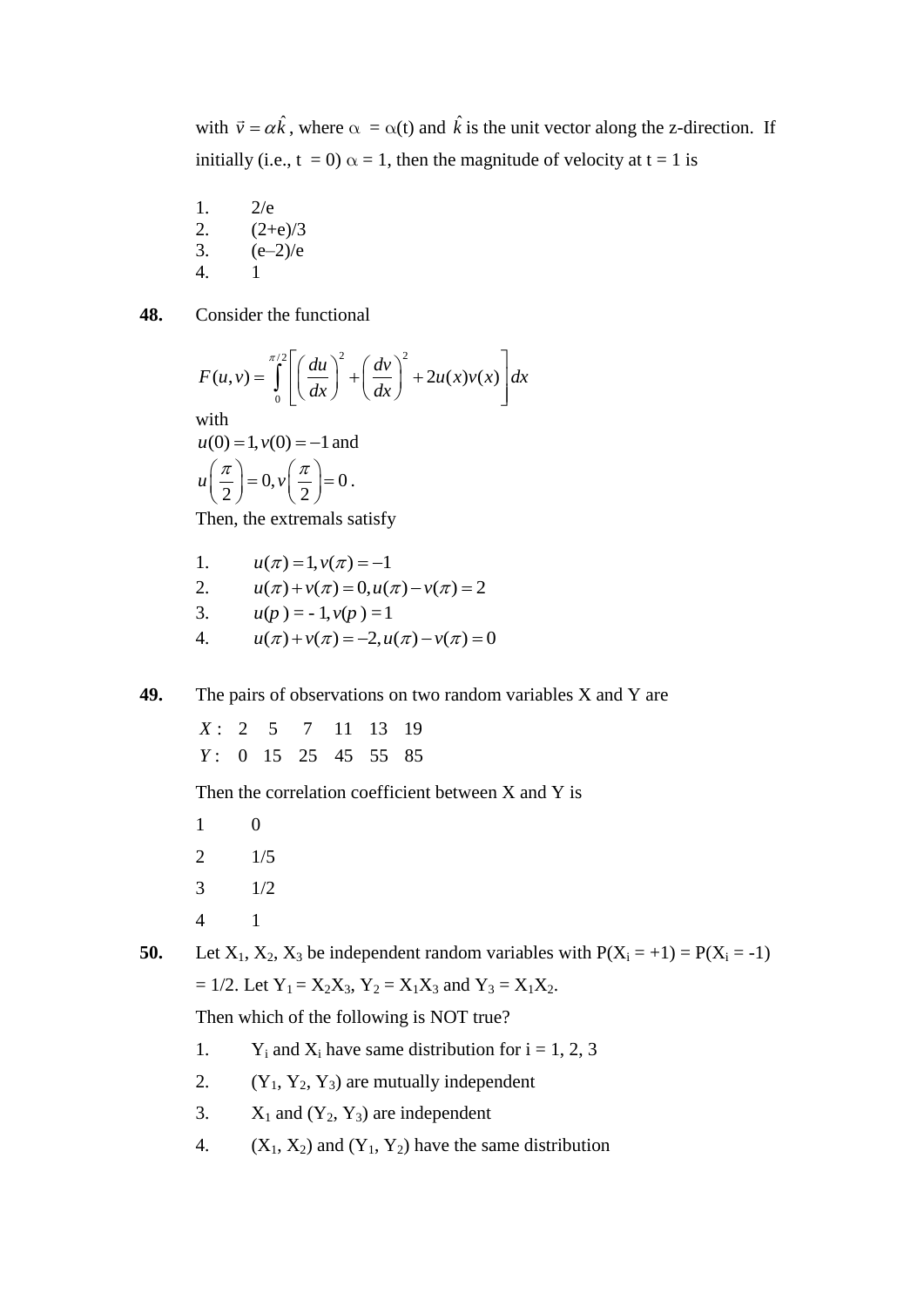with  $\vec{v} = \alpha \hat{k}$ , where  $\alpha = \alpha(t)$  and  $\hat{k}$  is the unit vector along the z-direction. If initially (i.e.,  $t = 0$ )  $\alpha = 1$ , then the magnitude of velocity at  $t = 1$  is

1. 2/e 2.  $(2+e)/3$ 3.  $(e-2)/e$ 4. 1

**48.** Consider the functional

$$
F(u, v) = \int_0^{\pi/2} \left[ \left( \frac{du}{dx} \right)^2 + \left( \frac{dv}{dx} \right)^2 + 2u(x)v(x) \right] dx
$$
  
with  
 $u(0) = 1, v(0) = -1$  and  
 $u\left(\frac{\pi}{2}\right) = 0, v\left(\frac{\pi}{2}\right) = 0$ .

Then, the extremals satisfy

1. 
$$
u(\pi) = 1, v(\pi) = -1
$$
  
\n2.  $u(\pi) + v(\pi) = 0, u(\pi) - v(\pi) = 2$   
\n3.  $u(p) = -1, v(p) = 1$   
\n4.  $u(\pi) + v(\pi) = -2, u(\pi) - v(\pi) = 0$ 

**49.** The pairs of observations on two random variables X and Y are

: 2 5 7 11 13 19 : 0 15 25 45 55 85 *Y*  $X \cdot$ 

Then the correlation coefficient between X and Y is

**50.** Let  $X_1, X_2, X_3$  be independent random variables with  $P(X_i = +1) = P(X_i = -1)$  $= 1/2$ . Let  $Y_1 = X_2X_3$ ,  $Y_2 = X_1X_3$  and  $Y_3 = X_1X_2$ .

Then which of the following is NOT true?

- 1. Y<sub>i</sub> and  $X_i$  have same distribution for  $i = 1, 2, 3$
- 2.  $(Y_1, Y_2, Y_3)$  are mutually independent
- 3.  $X_1$  and  $(Y_2, Y_3)$  are independent
- 4.  $(X_1, X_2)$  and  $(Y_1, Y_2)$  have the same distribution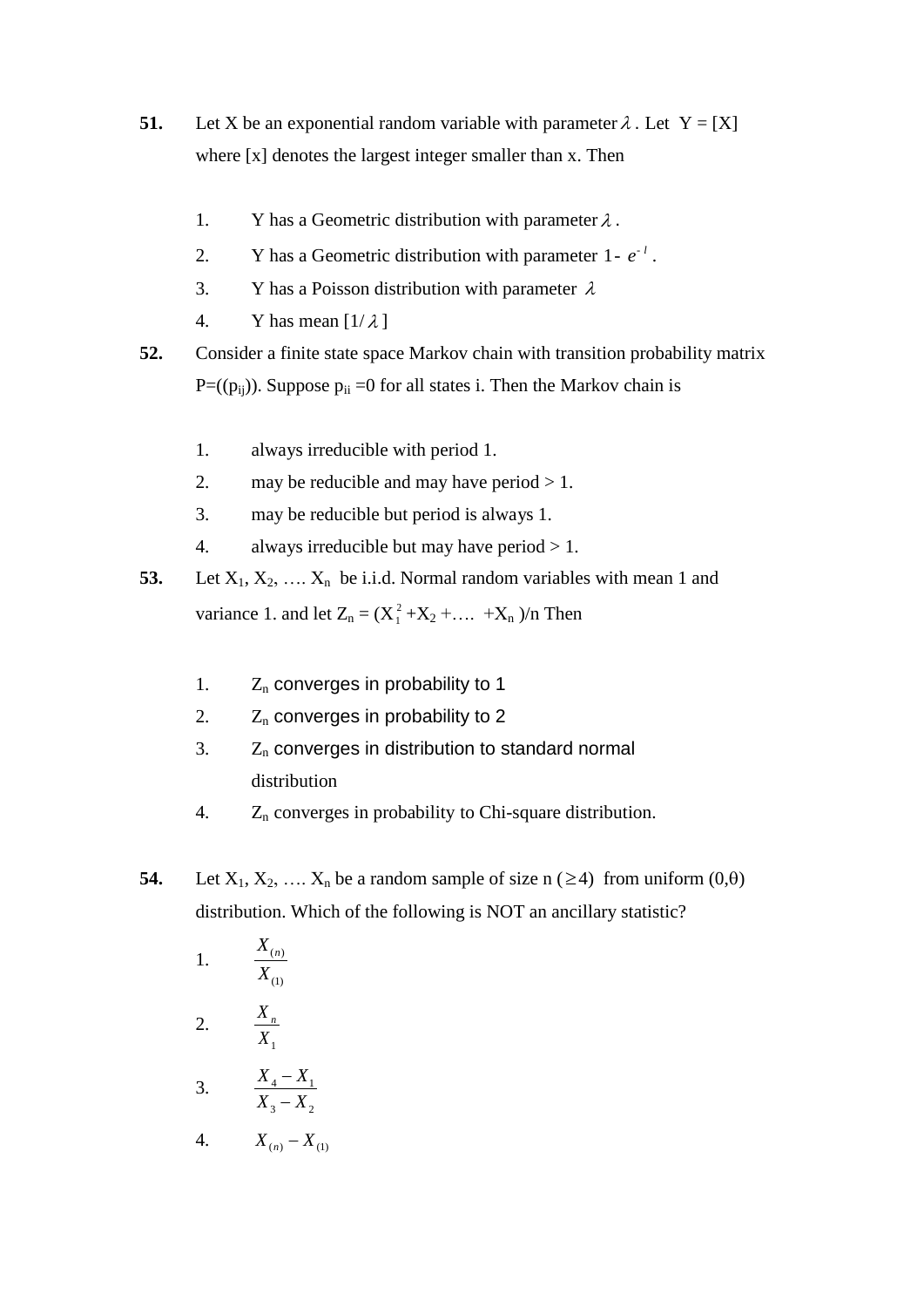- **51.** Let X be an exponential random variable with parameter  $\lambda$ . Let Y = [X] where [x] denotes the largest integer smaller than x. Then
	- 1. Y has a Geometric distribution with parameter  $\lambda$ .
	- 2. Y has a Geometric distribution with parameter  $1 e^{-l}$ .
	- 3. Y has a Poisson distribution with parameter  $\lambda$
	- 4. Y has mean  $[1/\lambda]$
- **52.** Consider a finite state space Markov chain with transition probability matrix  $P=(p_{ii})$ . Suppose  $p_{ii} = 0$  for all states i. Then the Markov chain is
	- 1. always irreducible with period 1.
	- 2. may be reducible and may have period  $> 1$ .
	- 3. may be reducible but period is always 1.
	- 4. always irreducible but may have period  $> 1$ .
- **53.** Let  $X_1, X_2, \ldots, X_n$  be i.i.d. Normal random variables with mean 1 and variance 1. and let  $Z_n = (X_1^2)$  $1<sup>2</sup> + X<sub>2</sub> + ... + X<sub>n</sub>$  )/n Then
	- 1.  $Z_n$  converges in probability to 1
	- 2.  $Z_n$  converges in probability to 2
	- $3.$   $Z_n$  converges in distribution to standard normal distribution
	- 4.  $Z_n$  converges in probability to Chi-square distribution.
- **54.** Let  $X_1, X_2, \ldots, X_n$  be a random sample of size  $n \geq 4$ ) from uniform  $(0, \theta)$ distribution. Which of the following is NOT an ancillary statistic?

1. 
$$
\frac{X_{(n)}}{X_{(1)}}
$$
  
\n2.  $\frac{X_n}{X_1}$   
\n3.  $\frac{X_4 - X_1}{X_3 - X_2}$   
\n4.  $X_{(n)} - X_{(1)}$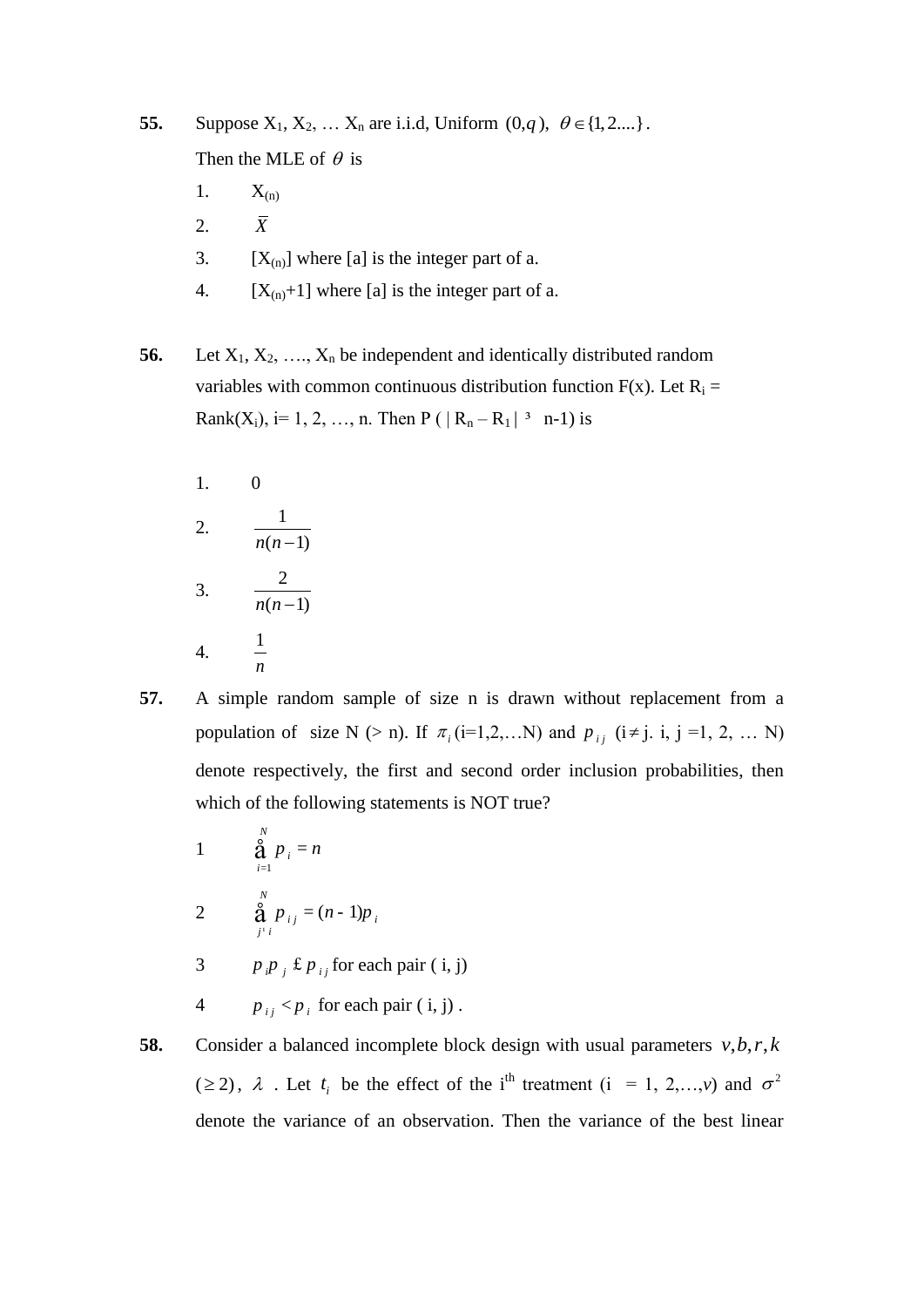**55.** Suppose  $X_1, X_2, ... X_n$  are i.i.d, Uniform  $(0,q)$ ,  $\theta \in \{1,2,...\}$ . Then the MLE of  $\theta$  is

- 1.  $X_{(n)}$
- 2. *X*
- 3.  $[X_{(n)}]$  where [a] is the integer part of a.
- 4.  $[X_{(n)}+1]$  where [a] is the integer part of a.

**56.** Let  $X_1, X_2, \ldots, X_n$  be independent and identically distributed random variables with common continuous distribution function  $F(x)$ . Let  $R_i =$ Rank(X<sub>i</sub>), i= 1, 2, ..., n. Then P ( $|R_n - R_1|$ <sup>3</sup> n-1) is

1. 0 2.  $\frac{1}{1}$  $n(n-1)$ 3.  $\frac{2}{1}$  $n(n-1)$ 4. 1

*n*

- **57.** A simple random sample of size n is drawn without replacement from a population of size N (> n). If  $\pi_i$  (i=1,2,...N) and  $p_{ij}$  (i  $\neq$  j. i, j =1, 2, ... N) denote respectively, the first and second order inclusion probabilities, then which of the following statements is NOT true?
	- 1 1 *N i i*  $p_i = n$  $\oint_{i=1}^{6} p_i =$ 2  $\sum_{i=1}^{N} p_{i} = (n-1)$  $_{ij}$  –  $(n - 1)p_i$  $j^1$ *i*  $p_{ij} = (n-1)p$  $\oint_{j^1 i} p_{ij} = (n -$ 3  $p_{i} p_{j}$  £  $p_{i}$  for each pair ( i, j)
	- 4  $p_{ij}$  <  $p_i$  for each pair ( i, j).
- **58.** Consider a balanced incomplete block design with usual parameters  $v, b, r, k$ ( $\geq$ 2),  $\lambda$ . Let  $t_i$  be the effect of the i<sup>th</sup> treatment (i = 1, 2,...,*v*) and  $\sigma^2$ denote the variance of an observation. Then the variance of the best linear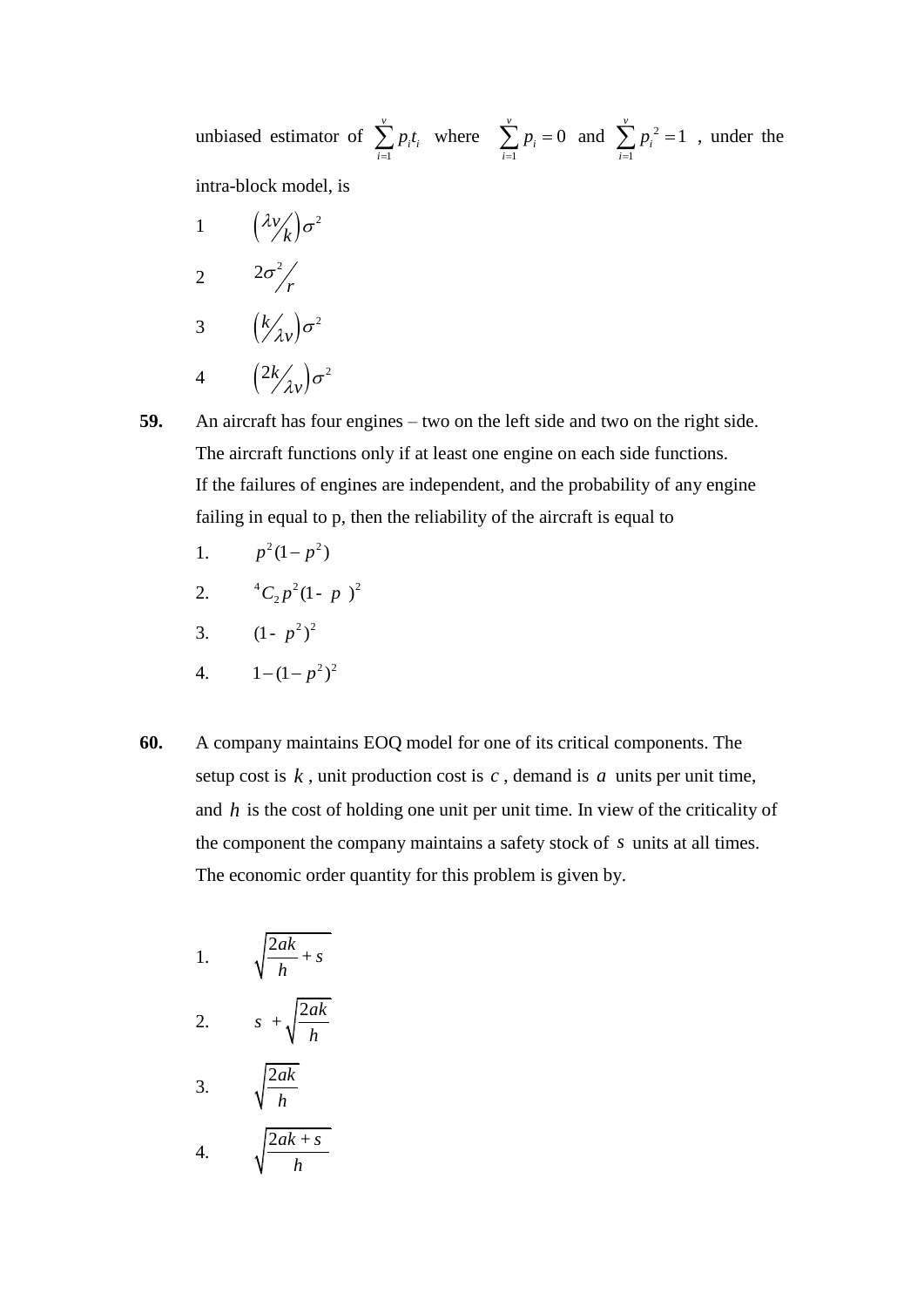unbiased estimator of 1 *v i i i pt*  $\sum_{i=1} p_i t_i$  where 1 0 *v i i p*  $\sum_{i=1} p_i = 0$  and  $\sum_{i=1} p_i^2$ 1 1 *v i i p*  $\sum_{i=1} p_i^2 = 1$ , under the intra-block model, is

1  $\left(\frac{\lambda \nu}{k}\right) \sigma^2$ *k*  $\lambda v'_n$   $\sigma$ 2  $2\sigma^2$  $\sigma$ <sup>r</sup>/r 3  $\left(\frac{k}{\lambda v}\right)\sigma^2$  $(\lambda_V)^{\sigma}$ 4  $\left( \frac{2k}{\lambda _{v}}\right) \sigma ^{2}$ 

 $(\lambda_V)^{\sigma}$ 

**59.** An aircraft has four engines – two on the left side and two on the right side. The aircraft functions only if at least one engine on each side functions. If the failures of engines are independent, and the probability of any engine failing in equal to p, then the reliability of the aircraft is equal to

- 1.  $p^2(1-p^2)$
- 2.  ${}^{4}C_{2}p^{2}(1-p)^{2}$
- 3.  $(1-p^2)^2$
- 4.  $1-(1-p^2)^2$
- **60.** A company maintains EOQ model for one of its critical components. The setup cost is  $k$ , unit production cost is  $c$ , demand is  $a$  units per unit time, and *h* is the cost of holding one unit per unit time. In view of the criticality of the component the company maintains a safety stock of *s* units at all times. The economic order quantity for this problem is given by.

1. 
$$
\sqrt{\frac{2ak}{h} + s}
$$
  
2. 
$$
s + \sqrt{\frac{2ak}{h}}
$$
  
3. 
$$
\sqrt{\frac{2ak}{h}}
$$
  
4. 
$$
\sqrt{\frac{2ak+s}{h}}
$$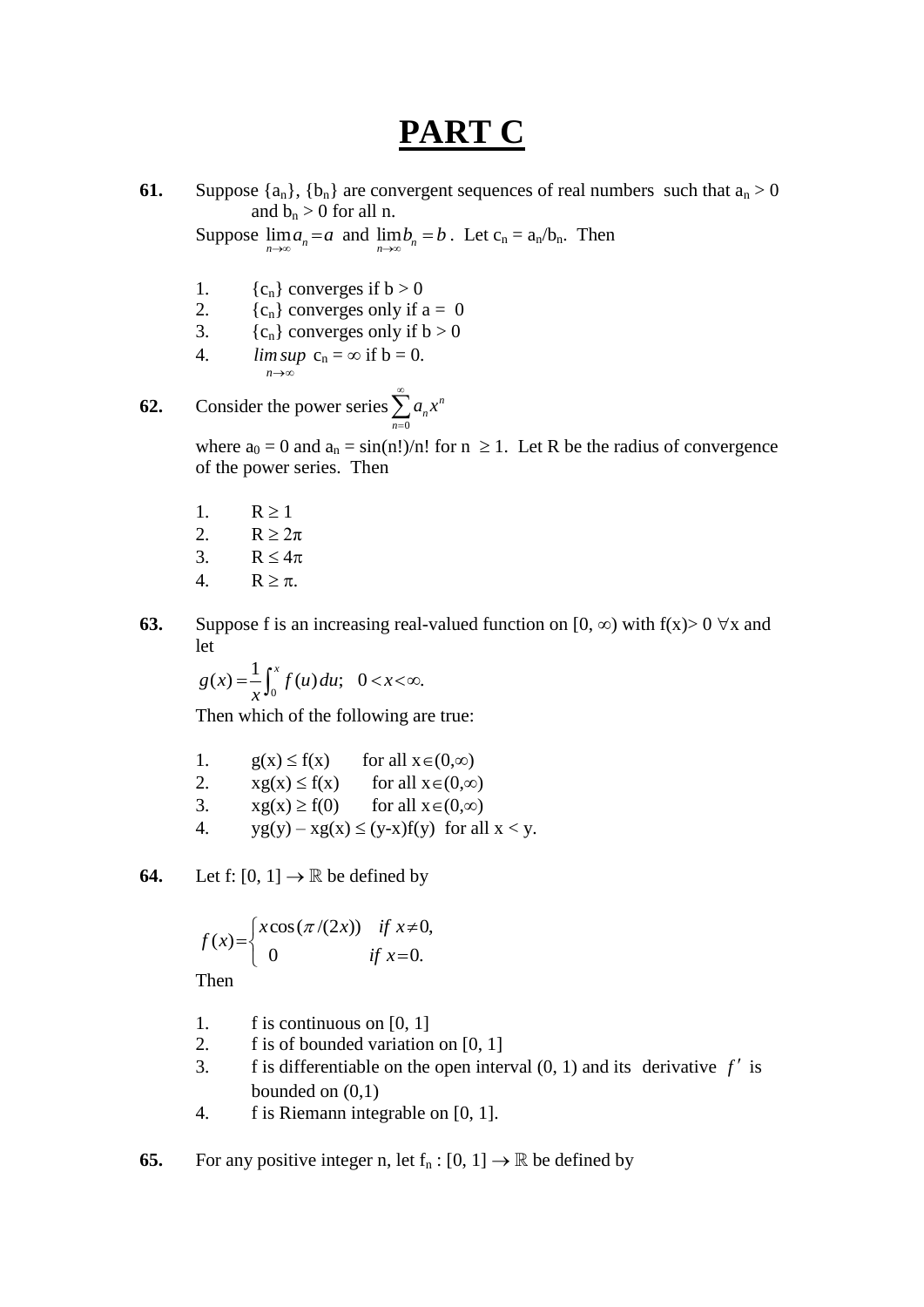# **PART C**

**61.** Suppose  $\{a_n\}$ ,  $\{b_n\}$  are convergent sequences of real numbers such that  $a_n > 0$ and  $b_n > 0$  for all n.

Suppose  $\lim_{n \to \infty} a_n = a$  and  $\lim_{n \to \infty} b_n = b$ . Let  $c_n = a_n/b_n$ . Then

- 1.  ${c_n}$  converges if  $b > 0$
- 2.  ${c_n}$  converges only if  $a = 0$
- 3.  ${c_n}$  converges only if  $b > 0$
- 4. n→∞ *lim sup*  $c_n = \infty$  if  $b = 0$ .

**62.** Consider the power series  $\boldsymbol{0}$ *n n n*  $a_n x$  $\infty$  $\sum_{n=0}$ 

> where  $a_0 = 0$  and  $a_n = \sin(n!)/n!$  for  $n \ge 1$ . Let R be the radius of convergence of the power series. Then

- 1.  $R \ge 1$ 2.  $R \geq 2\pi$ 3. R  $\lt 4\pi$
- 4.  $R \geq \pi$ .
- **63.** Suppose f is an increasing real-valued function on [0,  $\infty$ ) with f(x) > 0  $\forall$ x and let

 $\mathbf{0}$  $g(x) = \frac{1}{x} \int_0^x f(u) du; \quad 0 < x < \infty.$ 

Then which of the following are true:

| 1. | $g(x) \leq f(x)$ | for all $x \in (0, \infty)$                     |
|----|------------------|-------------------------------------------------|
| 2. | $xg(x) \le f(x)$ | for all $x \in (0, \infty)$                     |
| 3. | $xg(x) \ge f(0)$ | for all $x \in (0, \infty)$                     |
| 4. |                  | $yg(y) - xg(x) \le (y-x)f(y)$ for all $x < y$ . |

**64.** Let f:  $[0, 1] \rightarrow \mathbb{R}$  be defined by

$$
f(x) = \begin{cases} x\cos(\pi/(2x)) & \text{if } x \neq 0, \\ 0 & \text{if } x = 0. \end{cases}
$$

Then

- 1. f is continuous on [0, 1]
- 2. f is of bounded variation on [0, 1]
- 3. f is differentiable on the open interval  $(0, 1)$  and its derivative  $f'$  is bounded on (0,1)
	- 4. f is Riemann integrable on [0, 1].

**65.** For any positive integer n, let  $f_n : [0, 1] \to \mathbb{R}$  be defined by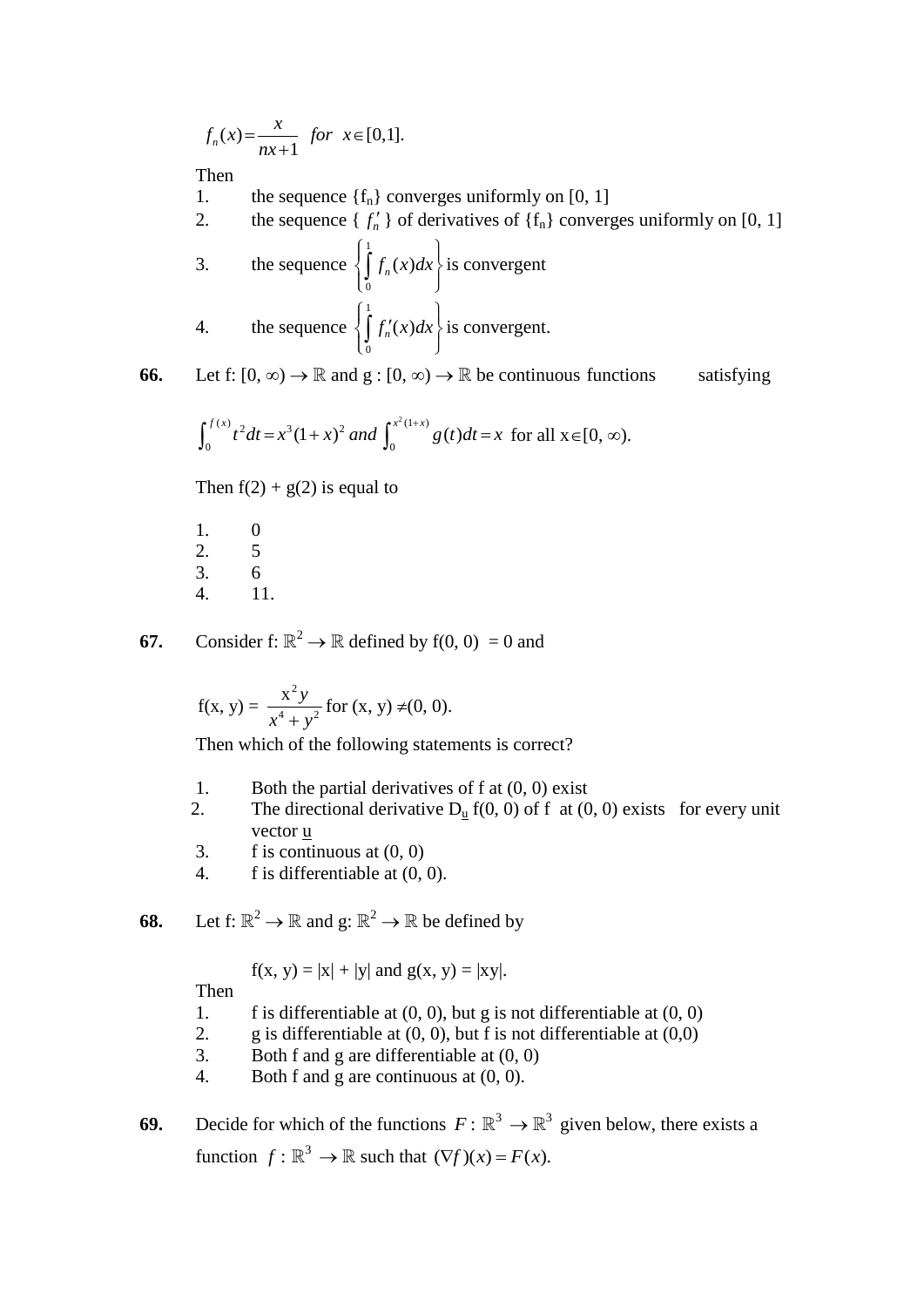$$
f_n(x) = \frac{x}{nx+1}
$$
 for  $x \in [0,1]$ .

Then

- 1. the sequence  ${f_n}$  converges uniformly on [0, 1]
- 2. the sequence  $\{f'_n\}$  of derivatives of  $\{f_n\}$  converges uniformly on [0, 1]
	- 3. the sequence 1  $\mathbf{0}$  $f_n(x)dx$  $\left\{\int_{0}^{1} f_n(x) dx\right\}$ i is convergent 4. the sequence 1  $\mathbf{0}$  $\left\{\int_{a}^{1} f'_n(x) dx\right\}$ i  $\left\{\int_{0} f'_{n}(x)dx\right\}$  is convergent.

**66.** Let f:  $[0, \infty) \to \mathbb{R}$  and  $g : [0, \infty) \to \mathbb{R}$  be continuous functions satisfying

$$
\int_0^{f(x)} t^2 dt = x^3 (1+x)^2 \text{ and } \int_0^{x^2(1+x)} g(t) dt = x \text{ for all } x \in [0, \infty).
$$

Then  $f(2) + g(2)$  is equal to

1. 0 2. 5 3. 6 4. 11.

**67.** Consider f:  $\mathbb{R}^2 \to \mathbb{R}$  defined by  $f(0, 0) = 0$  and

$$
f(x, y) = \frac{x^2 y}{x^4 + y^2}
$$
 for  $(x, y) \neq (0, 0)$ .

Then which of the following statements is correct?

- 1. Both the partial derivatives of f at  $(0, 0)$  exist
- 2. The directional derivative  $D_u f(0, 0)$  of f at  $(0, 0)$  exists for every unit vector u
- 3. f is continuous at  $(0, 0)$
- 4. f is differentiable at (0, 0).

**68.** Let  $f: \mathbb{R}^2 \to \mathbb{R}$  and  $g: \mathbb{R}^2 \to \mathbb{R}$  be defined by

$$
f(x, y) = |x| + |y|
$$
 and  $g(x, y) = |xy|$ .

Then

- 1. f is differentiable at  $(0, 0)$ , but g is not differentiable at  $(0, 0)$
- 2. g is differentiable at  $(0, 0)$ , but f is not differentiable at  $(0,0)$
- 3. Both f and g are differentiable at (0, 0)
- 4. Both f and g are continuous at (0, 0).

**69.** Decide for which of the functions  $F: \mathbb{R}^3 \to \mathbb{R}^3$  given below, there exists a function  $f: \mathbb{R}^3 \to \mathbb{R}$  such that  $(\nabla f)(x) = F(x)$ .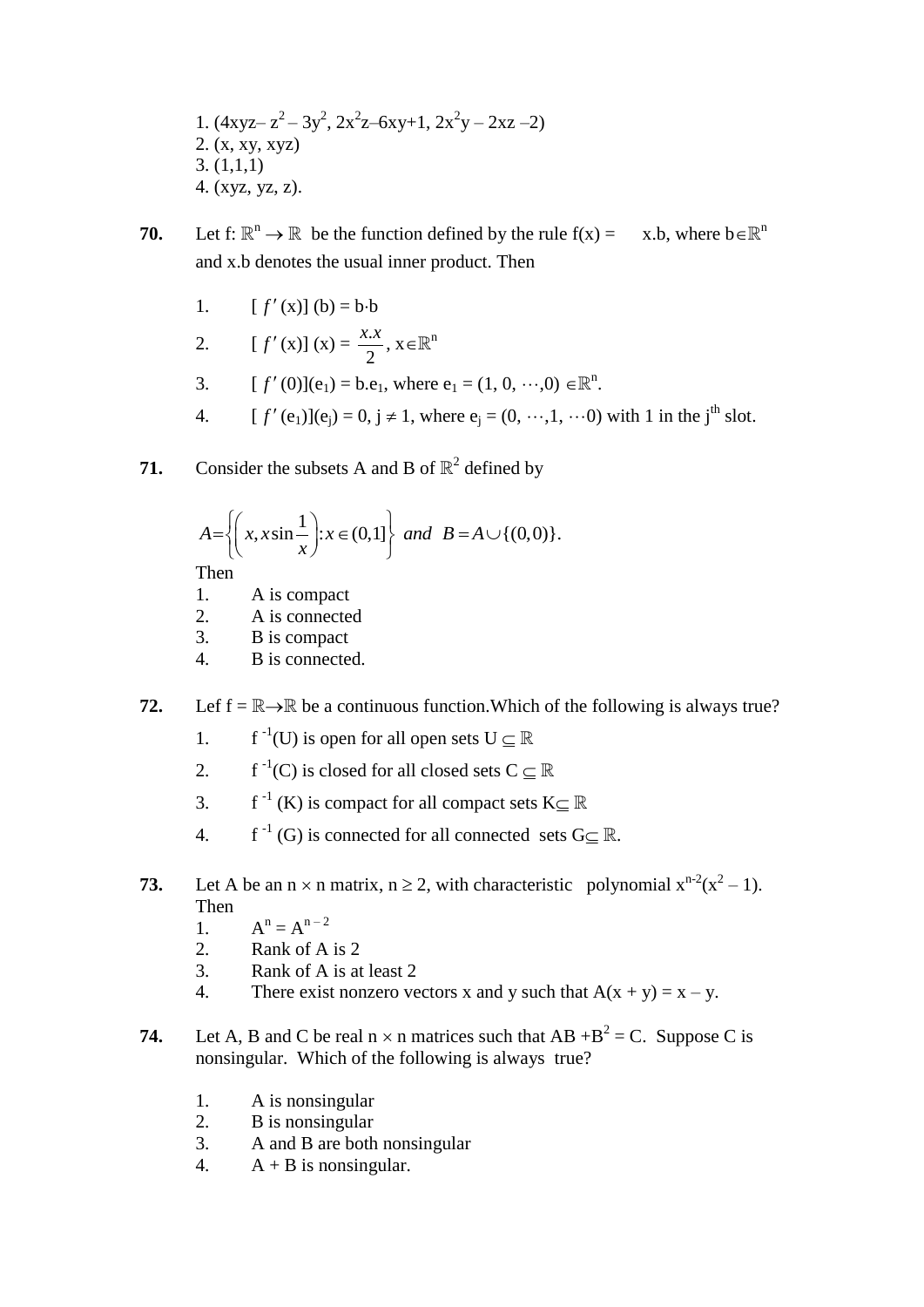1. 
$$
(4xyz-z^2-3y^2, 2x^2z-6xy+1, 2x^2y-2xz-2)
$$
  
2. (x, xy, xyz)  
3. (1,1,1)  
4. (xyz, yz, z).

- **70.** Let  $f: \mathbb{R}^n \to \mathbb{R}$  be the function defined by the rule  $f(x) = x.b$ , where  $b \in \mathbb{R}$ x.b. where  $b \in \mathbb{R}^n$ and x.b denotes the usual inner product. Then
	- $1<sub>l</sub>$  $f'(x)$ ] (b) = b·b
	- 2. [  $f'(x)$   $(x) = \frac{x}{2}$ . 2  $\frac{x.x}{2}$ ,  $x \in \mathbb{R}^n$
	- $3<sub>l</sub>$  $f'(0)$ ](e<sub>1</sub>) = b.e<sub>1</sub>, where e<sub>1</sub> = (1, 0,  $\cdots$ ,0)  $\in \mathbb{R}^n$ .
	- $\overline{4}$ .  $f'$  (e<sub>1</sub>)](e<sub>j</sub>) = 0, j  $\neq$  1, where e<sub>j</sub> = (0, …, 1, …0) with 1 in the j<sup>th</sup> slot.
- **71.** Consider the subsets A and B of  $\mathbb{R}^2$  defined by

$$
A = \left\{ \left( x, x \sin \frac{1}{x} \right) : x \in (0,1] \right\} \text{ and } B = A \cup \{ (0,0) \}.
$$

Then

- 1. A is compact
- 2. A is connected
- 3. B is compact
- 4. B is connected.
- **72.** Lef  $f = \mathbb{R} \rightarrow \mathbb{R}$  be a continuous function. Which of the following is always true?
	- 1.  $f^{-1}(U)$  is open for all open sets  $U \subseteq \mathbb{R}$
	- 2. f<sup>-1</sup>(C) is closed for all closed sets  $C \subseteq \mathbb{R}$
	- 3. f<sup>-1</sup> (K) is compact for all compact sets K $\subseteq \mathbb{R}$
	- 4. f<sup>-1</sup> (G) is connected for all connected sets  $G \subseteq \mathbb{R}$ .
- **73.** Let A be an  $n \times n$  matrix,  $n \ge 2$ , with characteristic polynomial  $x^{n-2}(x^2 1)$ . Then
	- $1<sub>a</sub>$  $n = A^{n-2}$
	- 2. Rank of A is 2
	- 3. Rank of A is at least 2
	- 4. There exist nonzero vectors x and y such that  $A(x + y) = x y$ .
- **74.** Let A, B and C be real  $n \times n$  matrices such that  $AB + B^2 = C$ . Suppose C is nonsingular. Which of the following is always true?
	- 1. A is nonsingular
	- 2. B is nonsingular
	- 3. A and B are both nonsingular
	- 4.  $A + B$  is nonsingular.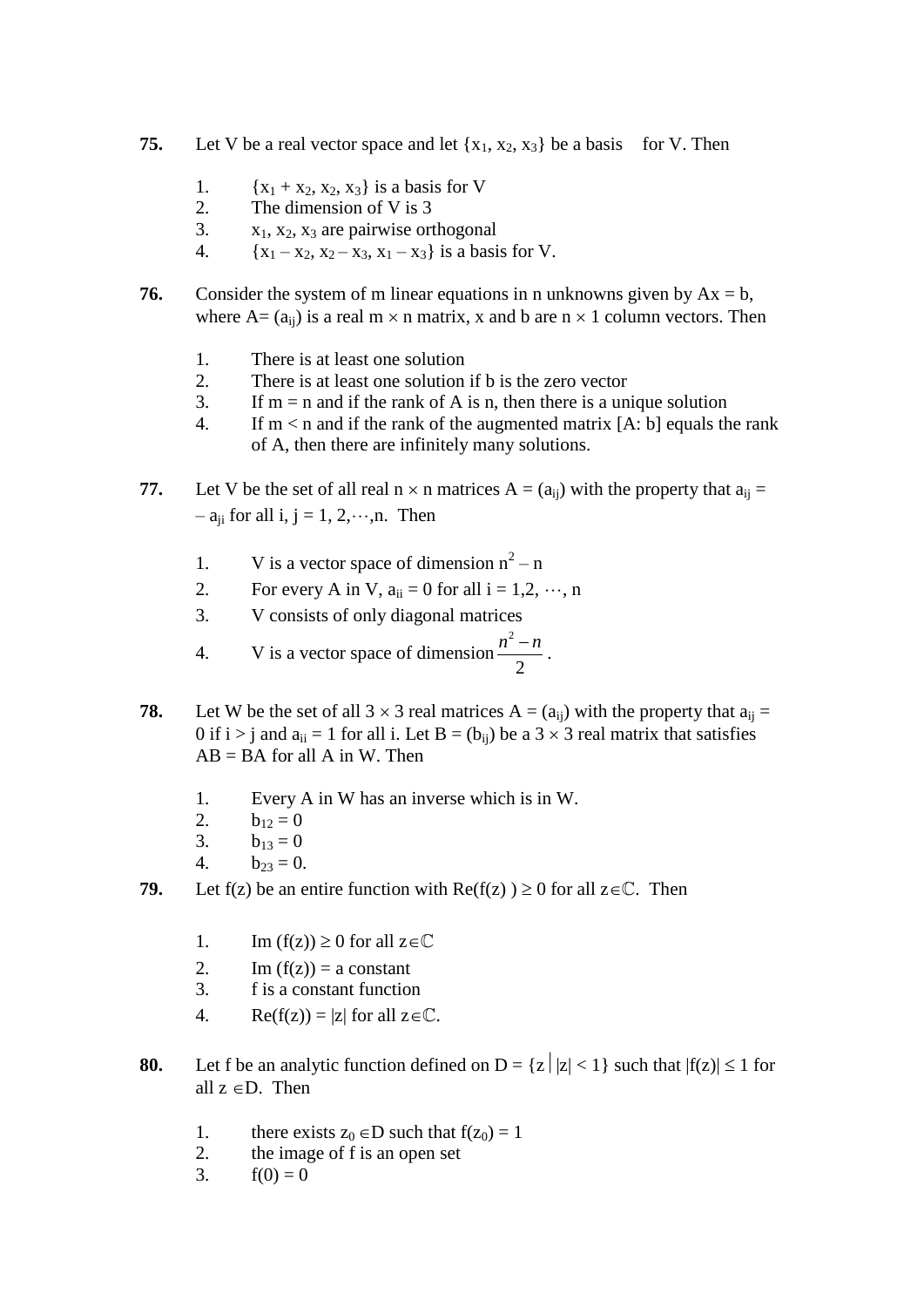- **75.** Let V be a real vector space and let  $\{x_1, x_2, x_3\}$  be a basis for V. Then
	- 1.  ${x_1 + x_2, x_2, x_3}$  is a basis for V
	- 2. The dimension of V is 3
	- 3.  $x_1, x_2, x_3$  are pairwise orthogonal
	- 4.  ${x_1 x_2, x_2 x_3, x_1 x_3}$  is a basis for V.
- **76.** Consider the system of m linear equations in n unknowns given by  $Ax = b$ , where  $A = (a_{ii})$  is a real  $m \times n$  matrix, x and b are  $n \times 1$  column vectors. Then
	- 1. There is at least one solution
	- 2. There is at least one solution if b is the zero vector
	- 3. If m = n and if the rank of A is n, then there is a unique solution
	- 4. If  $m < n$  and if the rank of the augmented matrix [A: b] equals the rank of A, then there are infinitely many solutions.
- **77.** Let V be the set of all real  $n \times n$  matrices  $A = (a_{ii})$  with the property that  $a_{ii} =$  $-$  a<sub>ii</sub> for all i, j = 1, 2,  $\cdots$ , n. Then
	- 1. V is a vector space of dimension  $n^2 n$
	- 2. For every A in V,  $a_{ii} = 0$  for all  $i = 1, 2, \dots, n$
	- 3. V consists of only diagonal matrices
	- 4. V is a vector space of dimension 2 2  $\frac{n^2-n}{2}$ .
- **78.** Let W be the set of all  $3 \times 3$  real matrices  $A = (a_{ij})$  with the property that  $a_{ij} =$ 0 if  $i > j$  and  $a_{ii} = 1$  for all i. Let  $B = (b_{ii})$  be a  $3 \times 3$  real matrix that satisfies  $AB = BA$  for all A in W. Then
	- 1. Every A in W has an inverse which is in W.
	- 2.  $b_{12} = 0$
	- 3.  $b_{13} = 0$
	- 4.  $b_{23} = 0$ .
- **79.** Let f(z) be an entire function with  $Re(f(z)) \ge 0$  for all  $z \in \mathbb{C}$ . Then
	- 1. Im  $(f(z)) \ge 0$  for all  $z \in \mathbb{C}$
	- 2. Im  $(f(z)) = a$  constant
	- 3. f is a constant function
	- 4. Re(f(z)) = |z| for all  $z \in \mathbb{C}$ .
- **80.** Let f be an analytic function defined on  $D = \{z \mid |z| < 1\}$  such that  $|f(z)| \le 1$  for all  $z \in D$ . Then
	- 1. there exists  $z_0 \in D$  such that  $f(z_0) = 1$
	- 2. the image of f is an open set
	- 3.  $f(0) = 0$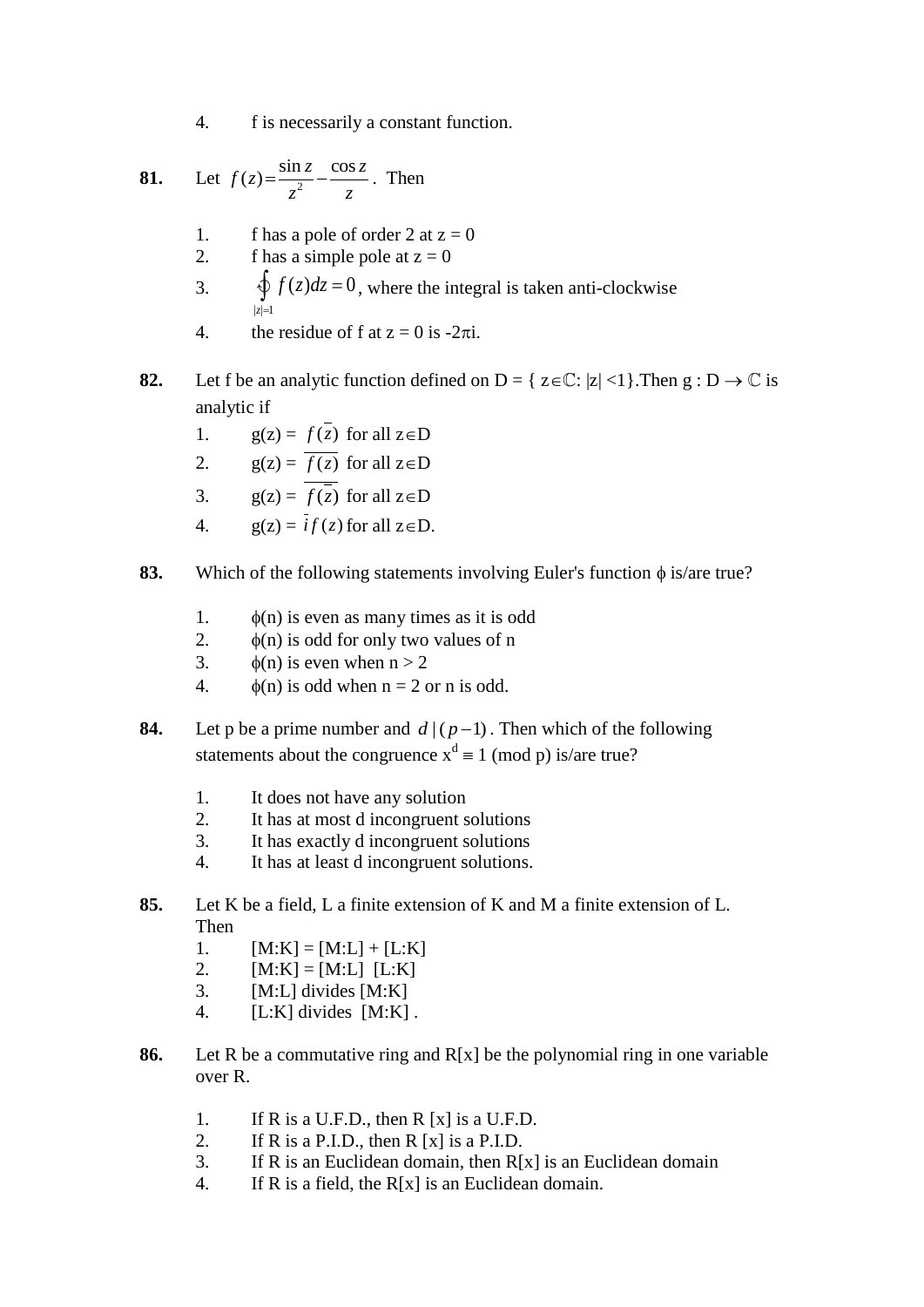4. f is necessarily a constant function.

81. Let 
$$
f(z) = \frac{\sin z}{z^2} - \frac{\cos z}{z}
$$
. Then

- 1. f has a pole of order 2 at  $z = 0$
- 2. f has a simple pole at  $z = 0$
- 3.  $|z|=1$  $\oint f(z)dz = 0$ , where the integral is taken anti-clockwise *z*  $=$
- 4. the residue of f at  $z = 0$  is -2 $\pi i$ .
- **82.** Let f be an analytic function defined on  $D = \{ z \in \mathbb{C} : |z| < 1 \}$ . Then  $g : D \to \mathbb{C}$  is analytic if
	- 1.  $g(z) = f(z)$  for all  $z \in D$
	- 2.  $g(z) = f(z)$  for all  $z \in D$
	- 3.  $g(z) = f(z)$  for all  $z \in D$
	- 4.  $g(z) = if(z)$  for all  $z \in D$ .
- **83.** Which of the following statements involving Euler's function  $\phi$  is/are true?
	- 1.  $\phi(n)$  is even as many times as it is odd
	- 2.  $\phi(n)$  is odd for only two values of n
	- 3.  $\phi(n)$  is even when  $n > 2$
	- 4.  $\phi(n)$  is odd when  $n = 2$  or n is odd.
- **84.** Let p be a prime number and  $d|(p-1)$ . Then which of the following statements about the congruence  $x^d \equiv 1 \pmod{p}$  is/are true?
	- 1. It does not have any solution
	- 2. It has at most d incongruent solutions
	- 3. It has exactly d incongruent solutions
	- 4. It has at least d incongruent solutions.
- **85.** Let K be a field, L a finite extension of K and M a finite extension of L. Then
	- 1.  $[M:K] = [M:L] + [L:K]$
	- 2.  $[M:K] = [M:L] [L:K]$
	- 3. [M:L] divides [M:K]
	- 4.  $[L:K]$  divides  $[M:K]$ .
- **86.** Let R be a commutative ring and R[x] be the polynomial ring in one variable over R.
	- 1. If R is a U.F.D., then R  $[x]$  is a U.F.D.
	- 2. If R is a P.I.D., then R  $[x]$  is a P.I.D.
	- 3. If R is an Euclidean domain, then  $R[x]$  is an Euclidean domain
	- 4. If R is a field, the R[x] is an Euclidean domain.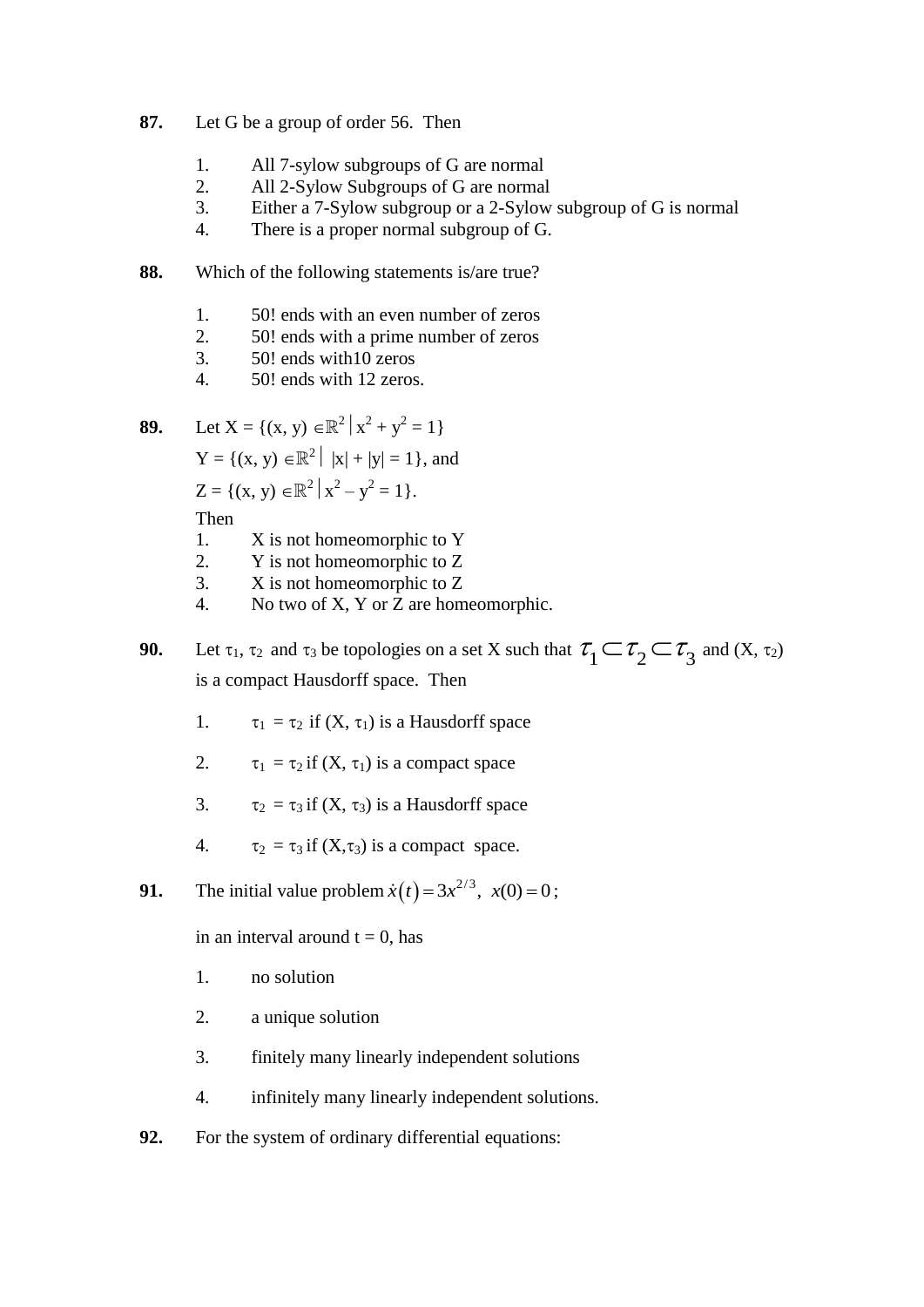- **87.** Let G be a group of order 56. Then
	- 1. All 7-sylow subgroups of G are normal
	- 2. All 2-Sylow Subgroups of G are normal
	- 3. Either a 7-Sylow subgroup or a 2-Sylow subgroup of G is normal
	- 4. There is a proper normal subgroup of G.
- **88.** Which of the following statements is/are true?
	- 1. 50! ends with an even number of zeros
	- 2. 50! ends with a prime number of zeros
	- 3. 50! ends with10 zeros
	- 4. 50! ends with 12 zeros.

**89.** Let 
$$
X = \{(x, y) \in \mathbb{R}^2 | x^2 + y^2 = 1 \}
$$

 $Y = \{ (x, y) \in \mathbb{R}^2 \mid |x| + |y| = 1 \}, \text{ and}$ 

$$
Z = \{(x, y) \in \mathbb{R}^2 \mid x^2 - y^2 = 1\}.
$$

Then

- 1. X is not homeomorphic to Y
- 2. Y is not homeomorphic to Z
- 3. X is not homeomorphic to Z
- 4. No two of X, Y or Z are homeomorphic.

**90.** Let  $\tau_1$ ,  $\tau_2$  and  $\tau_3$  be topologies on a set X such that  $\tau_1 \subset \tau_2 \subset \tau_3$  and  $(X, \tau_2)$ is a compact Hausdorff space. Then

- 1.  $\tau_1 = \tau_2$  if  $(X, \tau_1)$  is a Hausdorff space
- 2.  $\tau_1 = \tau_2$  if  $(X, \tau_1)$  is a compact space
- 3.  $\tau_2 = \tau_3$  if  $(X, \tau_3)$  is a Hausdorff space
- 4.  $\tau_2 = \tau_3$  if  $(X, \tau_3)$  is a compact space.
- **91.** The initial value problem  $\dot{x}(t) = 3x^{2/3}$ ,  $x(0) = 0$ ;

in an interval around  $t = 0$ , has

- 1. no solution
- 2. a unique solution
- 3. finitely many linearly independent solutions
- 4. infinitely many linearly independent solutions.
- **92.** For the system of ordinary differential equations: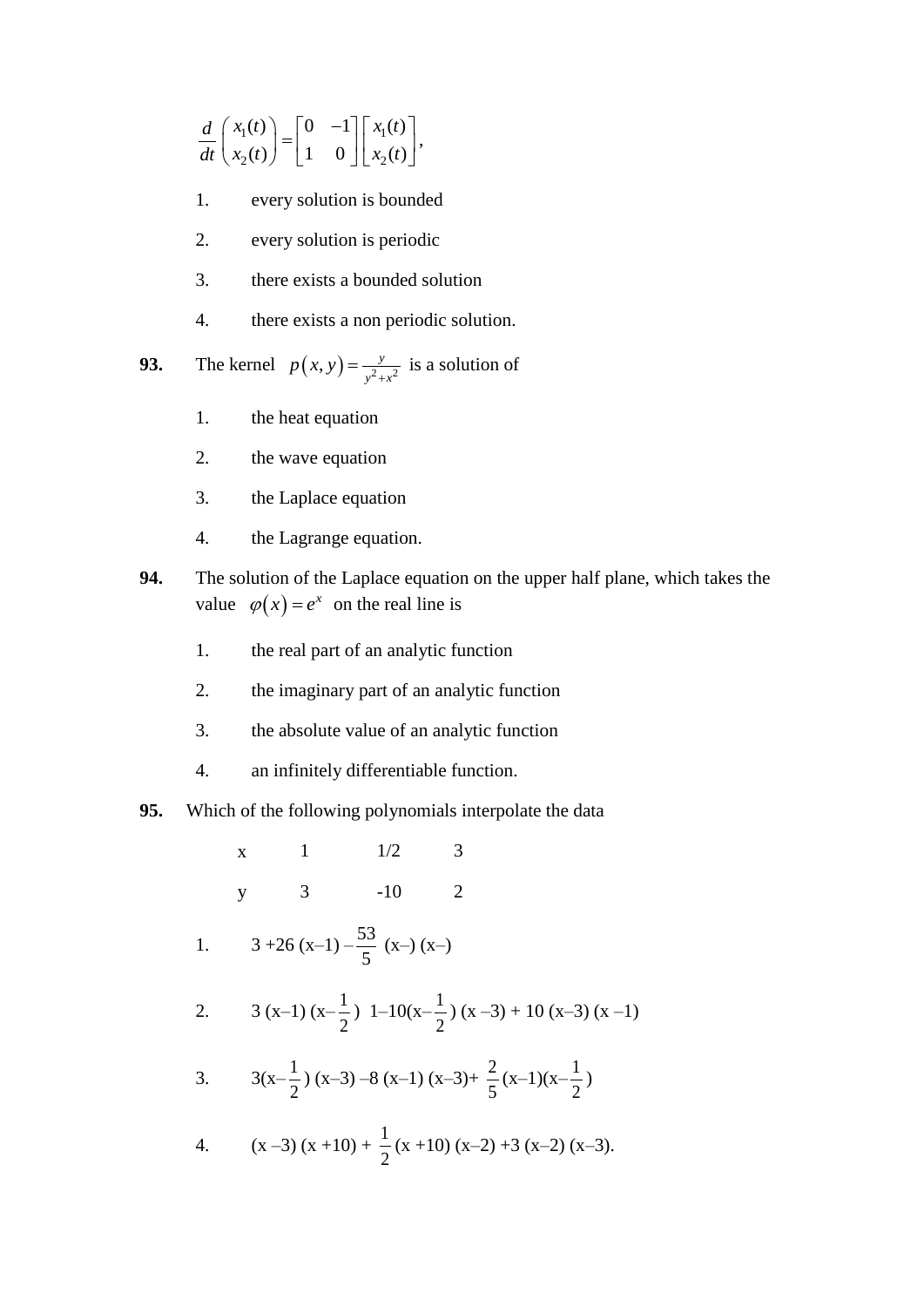$$
\frac{d}{dt}\begin{pmatrix} x_1(t) \\ x_2(t) \end{pmatrix} = \begin{bmatrix} 0 & -1 \\ 1 & 0 \end{bmatrix} \begin{bmatrix} x_1(t) \\ x_2(t) \end{bmatrix},
$$

- 1. every solution is bounded
- 2. every solution is periodic
- 3. there exists a bounded solution
- 4. there exists a non periodic solution.

**93.** The kernel  $p(x, y) = \frac{y}{y^2 + y^2}$  $p(x, y) = \frac{y}{y^2 + x^2}$  is a solution of

- 1. the heat equation
- 2. the wave equation
- 3. the Laplace equation
- 4. the Lagrange equation.
- **94.** The solution of the Laplace equation on the upper half plane, which takes the value  $\varphi(x) = e^x$  on the real line is
	- 1. the real part of an analytic function
	- 2. the imaginary part of an analytic function
	- 3. the absolute value of an analytic function
	- 4. an infinitely differentiable function.
- **95.** Which of the following polynomials interpolate the data
	- $x \t 1 \t 1/2 \t 3$ y 3 -10 2
	- 1.  $3 + 26(x-1) \frac{53}{5}$ 5  $(x-)$  $(x-)$

2. 3 (x-1) 
$$
(x-\frac{1}{2})
$$
 1-10 $(x-\frac{1}{2})$   $(x-3)+10$   $(x-3)$   $(x-1)$ 

3. 
$$
3(x-\frac{1}{2})(x-3)-8(x-1)(x-3)+\frac{2}{5}(x-1)(x-\frac{1}{2})
$$

4. 
$$
(x-3)(x+10) + \frac{1}{2}(x+10)(x-2) + 3(x-2)(x-3).
$$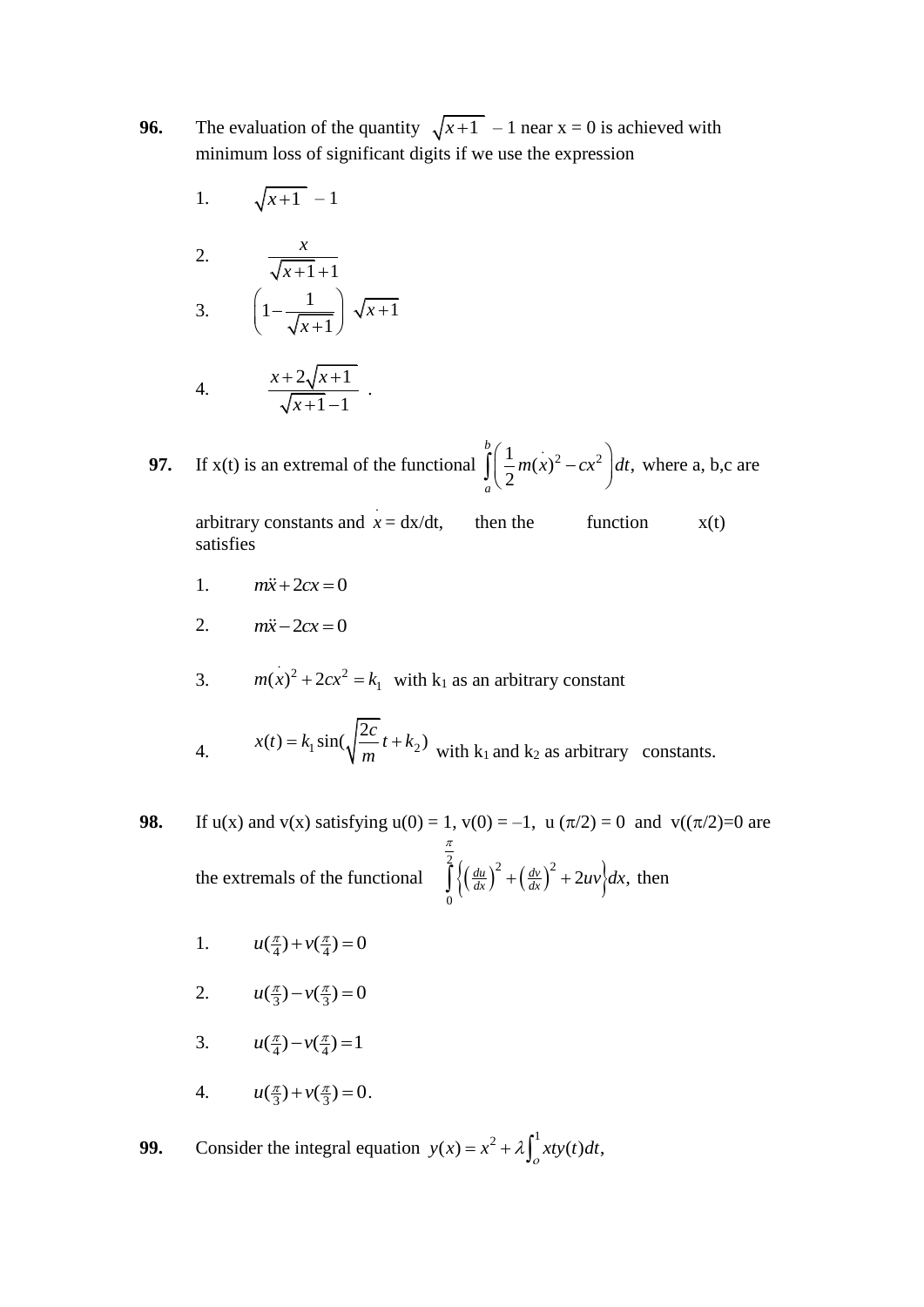- **96.** The evaluation of the quantity  $\sqrt{x+1}$  1 near  $x = 0$  is achieved with minimum loss of significant digits if we use the expression
	- 1.  $\sqrt{x+1}$  – 1

2. 
$$
\frac{x}{\sqrt{x+1}+1}
$$
  
3. 
$$
\left(1-\frac{1}{\sqrt{x+1}}\right)\sqrt{x+1}
$$

4. 
$$
\frac{x+2\sqrt{x+1}}{\sqrt{x+1}-1} \ .
$$

**97.** If  $x(t)$  is an extremal of the functional  $\int_{0}^{b} \left( \frac{1}{2} m(x)^{2} - cx^{2} \right) dt$ , 2 *b a*  $\left(\frac{1}{2}m(x)^2 - cx^2\right)dt$  $\int_{a} \left( \frac{1}{2} m(x)^2 - cx^2 \right) dt$ , where a, b,c are

arbitrary constants and .  $x = dx/dt$ , then the function  $x(t)$ satisfies

- 1.  $m\ddot{x} + 2cx = 0$
- 2.  $m\ddot{x} - 2cx = 0$
- 3.  $m(x)^{2} + 2cx^{2} = k_{1}$  with k<sub>1</sub> as an arbitrary constant
- 4.  $\sin(\sqrt{\frac{t}{m}}t + k_2)$  $x(t) = k_1 \sin(\sqrt{\frac{2c}{m}}t + k_2)$  $= k_1 \sin(\sqrt{\frac{2c}{m}} t + k_2)$  with  $k_1$  and  $k_2$  as arbitrary constants.
- **98.** If u(x) and v(x) satisfying  $u(0) = 1$ ,  $v(0) = -1$ ,  $u(\pi/2) = 0$  and  $v((\pi/2)=0$  are the extremals of the functional  $\int \left\{ \frac{du}{dx} \right\}^2 + \left( \frac{dv}{dx} \right)^2 + 2uv \right\} dt$  $\int_{1}^{2} (du)^2$   $(du)^2$ 0  $\left(\frac{du}{dx}\right)^2 + \left(\frac{dv}{dx}\right)^2 + 2uv\right>dx,$ π  $\int_{0}^{2} \left\{ \left( \frac{du}{dx} \right)^{2} + \left( \frac{dv}{dx} \right)^{2} + 2uv \right\} dx$ , then
	- 1.  $u(\frac{\pi}{4}) + v(\frac{\pi}{4}) = 0$
	- 2.  $u(\frac{\pi}{3}) v(\frac{\pi}{3}) = 0$
	- 3.  $u(\frac{\pi}{4}) v(\frac{\pi}{4}) = 1$
	- 4.  $u(\frac{\pi}{3}) + v(\frac{\pi}{3}) = 0.$

**99.** Consider the integral equation  $y(x) = x^2 + \lambda \int_0^1 xty(t)dt$ ,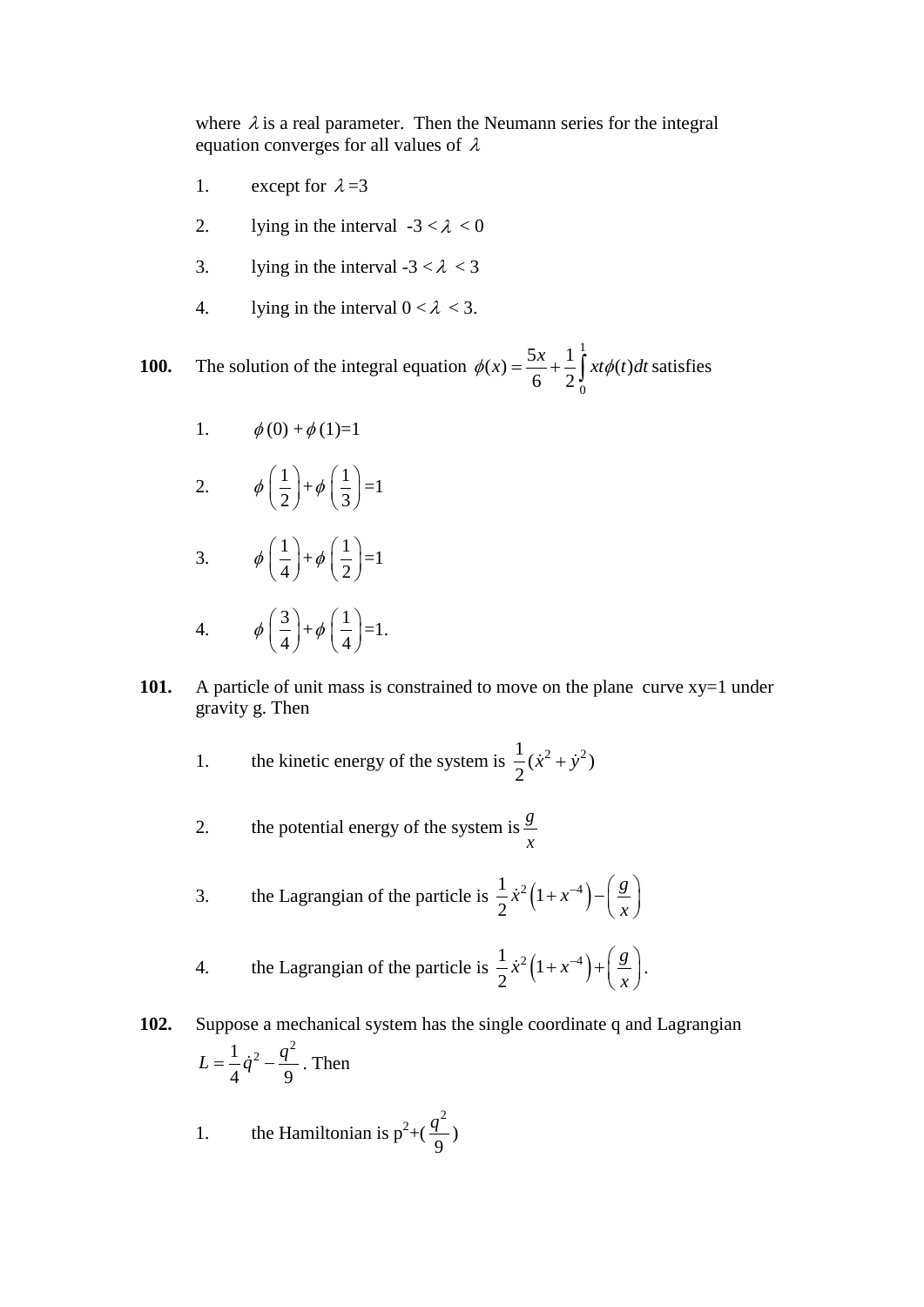where  $\lambda$  is a real parameter. Then the Neumann series for the integral equation converges for all values of  $\lambda$ 

- 1. except for  $\lambda = 3$
- 2. lying in the interval  $-3 < \lambda < 0$
- 3. lying in the interval  $-3 < \lambda < 3$
- 4. lying in the interval  $0 < \lambda < 3$ .

**100.** The solution of the integral equation 1 0  $f(x) = \frac{5x}{6} + \frac{1}{2} \int_0^1 x t \phi(t)$  $\frac{1}{6}$  +  $\frac{1}{2}$  $\phi(x) = \frac{5x}{6} + \frac{1}{2} \int x t \phi(t) dt$  satisfies

- 1.  $\phi(0) + \phi(1)=1$
- 2.  $\phi\left(\frac{1}{2}\right)$  $\left(\frac{1}{2}\right)+\phi\left(\frac{1}{3}\right)$  $\left(\frac{1}{3}\right)$ =1
- 3.  $\phi\left(\frac{1}{1}\right)$  $\left(\frac{1}{4}\right)+\phi\left(\frac{1}{2}\right)$  $\left(\frac{1}{2}\right)$ =1
- 4.  $\phi\left(\frac{3}{4}\right)$  $\left(\frac{3}{4}\right)+\phi\left(\frac{1}{4}\right)$  $\left(\frac{1}{4}\right)$ =1.
- 101. A particle of unit mass is constrained to move on the plane curve  $xy=1$  under gravity g. Then
	- 1. the kinetic energy of the system is  $\frac{1}{2}(\dot{x}^2 + \dot{y}^2)$ 2  $\dot{x}^2 + \dot{y}^2$
	- 2. the potential energy of the system is  $\frac{g}{g}$ *x*
- 3. the Lagrangian of the particle is  $\frac{1}{2} \dot{x}^2 (1 + x^{-4})$ . 2  $\dot{x}^2(1+x^{-4}) - \frac{g}{x^2}$ *x*  $\dot{x}^2(1+x^{-4}) - \left(\frac{g}{x}\right)$

4. the Lagrangian of the particle is 
$$
\frac{1}{2}\dot{x}^2(1+x^{-4})+\left(\frac{g}{x}\right)
$$
.

**102.** Suppose a mechanical system has the single coordinate q and Lagrangian  $1_{i^2}$   $q^2$ 4<sup>1</sup> 9  $L = \frac{1}{4}\dot{q}^2 - \frac{q^2}{2}$ . Then

1. the Hamiltonian is  $p^2+($ 2 9  $\frac{q^2}{q}$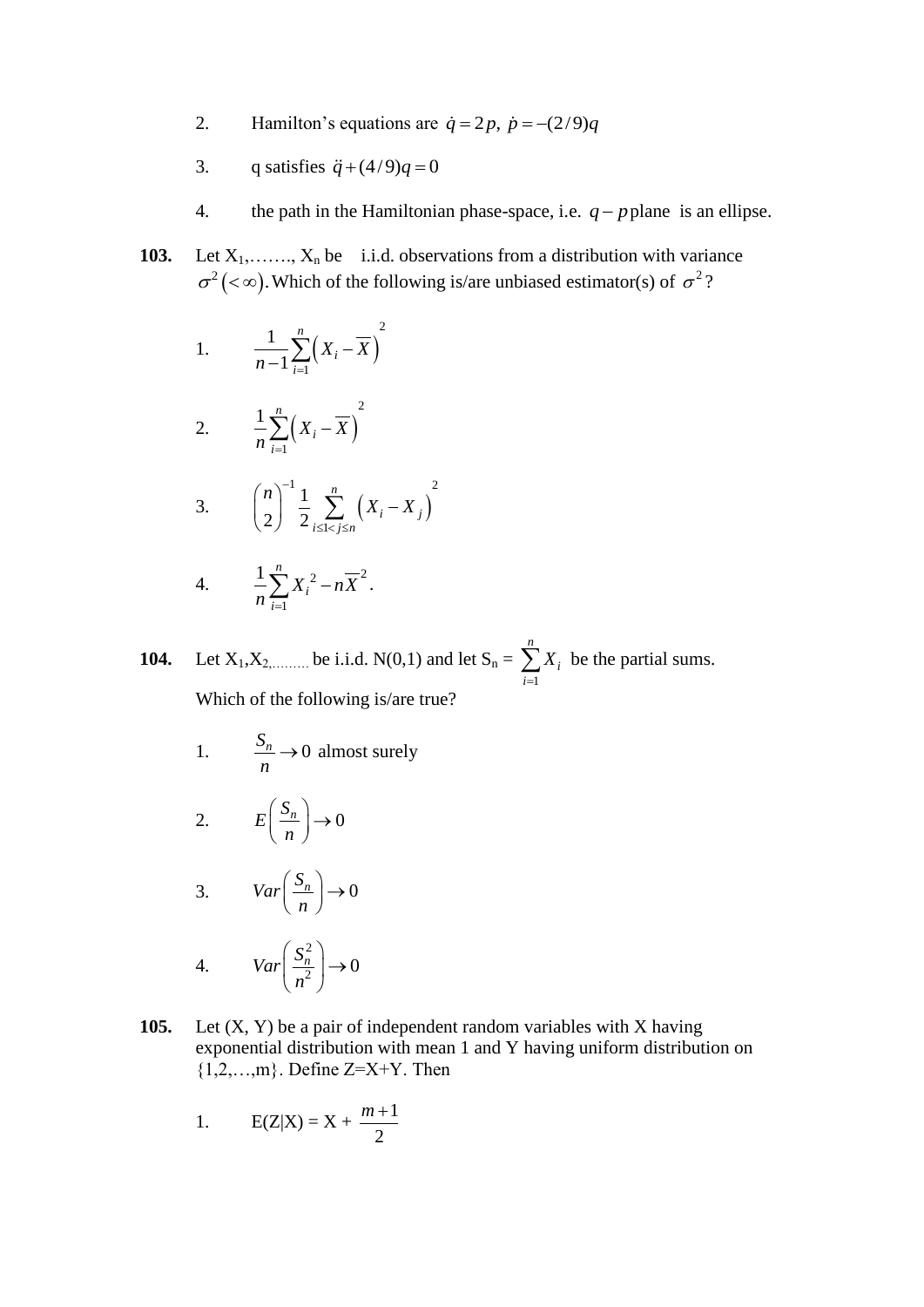- 2. Hamilton's equations are  $\dot{q} = 2p$ ,  $\dot{p} = -(2/9)q$
- 3. q satisfies  $\ddot{q} + (4/9)q = 0$
- 4. the path in the Hamiltonian phase-space, i.e.  $q$  p plane is an ellipse.
- 103. Let  $X_1, \ldots, X_n$  be i.i.d. observations from a distribution with variance  $\sigma^2$  (<  $\infty$ ). Which of the following is/are unbiased estimator(s) of  $\sigma^2$ ?

1. 
$$
\frac{1}{n-1}\sum_{i=1}^{n} \left(X_i - \overline{X}\right)^2
$$

2. 
$$
\frac{1}{n}\sum_{i=1}^{n} (X_i - \overline{X})^2
$$

3. 
$$
\binom{n}{2}^{-1} \frac{1}{2} \sum_{i \leq 1 < j \leq n}^{n} \left( X_i - X_j \right)^2
$$

4. 
$$
\frac{1}{n}\sum_{i=1}^{n}X_i^2 - n\overline{X}^2.
$$

**104.** Let  $X_1, X_2, \dots \dots$  be i.i.d.  $N(0,1)$  and let  $S_n =$ 1 *n i i X*  $\sum_{i=1} X_i$  be the partial sums. Which of the following is/are true?

1. 
$$
\frac{S_n}{n} \to 0 \text{ almost surely}
$$

2. 
$$
E\left(\frac{S_n}{n}\right) \to 0
$$

$$
3. \qquad Var\left(\frac{S_n}{n}\right) \to 0
$$

4. 
$$
Var\left(\frac{S_n^2}{n^2}\right) \to 0
$$

**105.** Let (X, Y) be a pair of independent random variables with X having exponential distribution with mean 1 and Y having uniform distribution on  ${1,2,...,m}$ . Define Z=X+Y. Then

1. 
$$
E(Z|X) = X + \frac{m+1}{2}
$$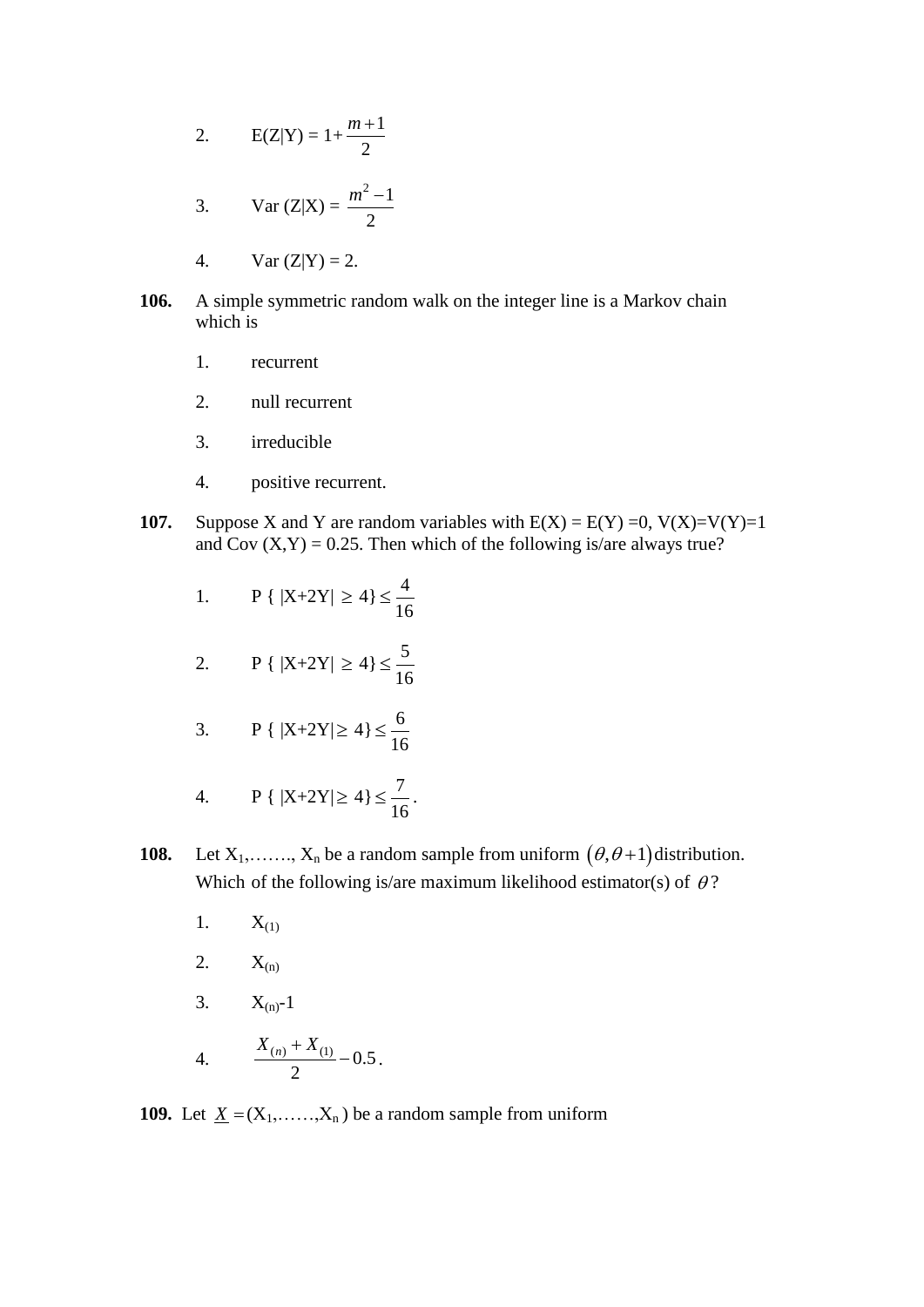2. 
$$
E(Z|Y) = 1 + \frac{m+1}{2}
$$

3. Var (Z|X) = 
$$
\frac{m^2 - 1}{2}
$$

- 4. Var  $(Z|Y) = 2$ .
- **106.** A simple symmetric random walk on the integer line is a Markov chain which is
	- 1. recurrent
	- 2. null recurrent
	- 3. irreducible
	- 4. positive recurrent.
- **107.** Suppose X and Y are random variables with  $E(X) = E(Y) = 0$ ,  $V(X)=V(Y)=1$ and Cov  $(X, Y) = 0.25$ . Then which of the following is/are always true?
	- 1.  $P\{ |X+2Y| \ge 4 \} \le \frac{4}{14}$ 16
	- 2.  $P\{ |X+2Y| \ge 4 \} \le \frac{5}{14}$ 16
	- 3.  $P\{ |X+2Y|\geq 4\} \leq \frac{6}{15}$ 16
	- 4. **P** {  $|X+2Y| \ge 4$ }  $\le \frac{7}{14}$ 16
- **108.** Let  $X_1, \ldots, X_n$  be a random sample from uniform  $(\theta, \theta+1)$  distribution. Which of the following is/are maximum likelihood estimator(s) of  $\theta$ ?

.

- 1.  $X_{(1)}$
- 2.  $X_{(n)}$
- 3.  $X_{(n)}-1$
- 4.  $\frac{\Lambda_{(n)} + \Lambda_{(1)}}{2} 0.5$ 2  $\frac{X_{(n)} + X_{(1)}}{2} - 0.5$ .

**109.** Let  $\underline{X} = (X_1, \ldots, X_n)$  be a random sample from uniform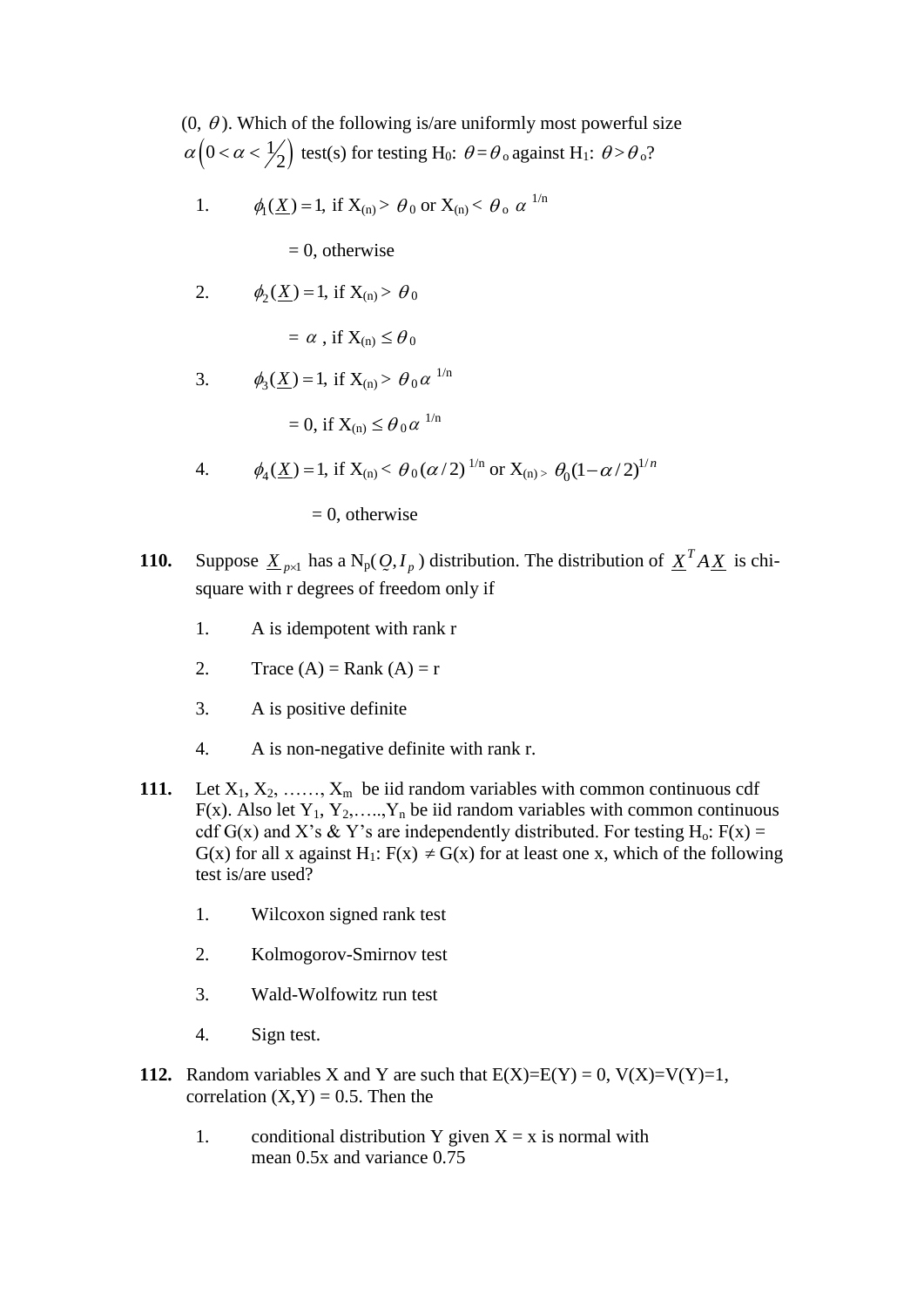$(0, \theta)$ . Which of the following is/are uniformly most powerful size  $\left(0 < \alpha < \frac{1}{2}\right)$  $\alpha \left(0 < \alpha < \frac{1}{2}\right)$  test(s) for testing H<sub>0</sub>:  $\theta = \theta_o$  against H<sub>1</sub>:  $\theta > \theta_o$ ?

1. 
$$
\phi_1(\underline{X}) = 1
$$
, if  $X_{(n)} > \theta_0$  or  $X_{(n)} < \theta_0 \alpha^{1/n}$ 

 $= 0$ , otherwise

2. 
$$
\phi_2(\underline{X}) = 1
$$
, if  $X_{(n)} > \theta_0$ 

$$
= \alpha
$$
, if  $X_{(n)} \leq \theta_0$ 

3. 
$$
\phi_3(\underline{X}) = 1
$$
, if  $X_{(n)} > \theta_0 \alpha^{1/n}$ 

$$
= 0, \text{ if } X_{(n)} \leq \theta_0 \alpha^{1/n}
$$

4. 
$$
\phi_4(\underline{X}) = 1
$$
, if  $X_{(n)} < \theta_0(\alpha/2)^{1/n}$  or  $X_{(n)} > \theta_0(1-\alpha/2)^{1/n}$ 

$$
= 0
$$
, otherwise

- **110.** Suppose  $\underline{X}_{p\times 1}$  has a  $N_p(Q, I_p)$ ) distribution. The distribution of  $X^T A X$  is chisquare with r degrees of freedom only if
	- 1. A is idempotent with rank r
	- 2. Trace  $(A)$  = Rank  $(A)$  = r
	- 3. A is positive definite
	- 4. A is non-negative definite with rank r.
- 111. Let  $X_1, X_2, \ldots, X_m$  be iid random variables with common continuous cdf F(x). Also let  $Y_1, Y_2, \ldots, Y_n$  be iid random variables with common continuous cdf G(x) and X's & Y's are independently distributed. For testing H<sub>0</sub>: F(x) = G(x) for all x against H<sub>1</sub>:  $F(x) \neq G(x)$  for at least one x, which of the following test is/are used?
	- 1. Wilcoxon signed rank test
	- 2. Kolmogorov-Smirnov test
	- 3. Wald-Wolfowitz run test
	- 4. Sign test.
- **112.** Random variables X and Y are such that  $E(X)=E(Y) = 0$ ,  $V(X)=V(Y)=1$ , correlation  $(X, Y) = 0.5$ . Then the
	- 1. conditional distribution Y given  $X = x$  is normal with mean 0.5x and variance 0.75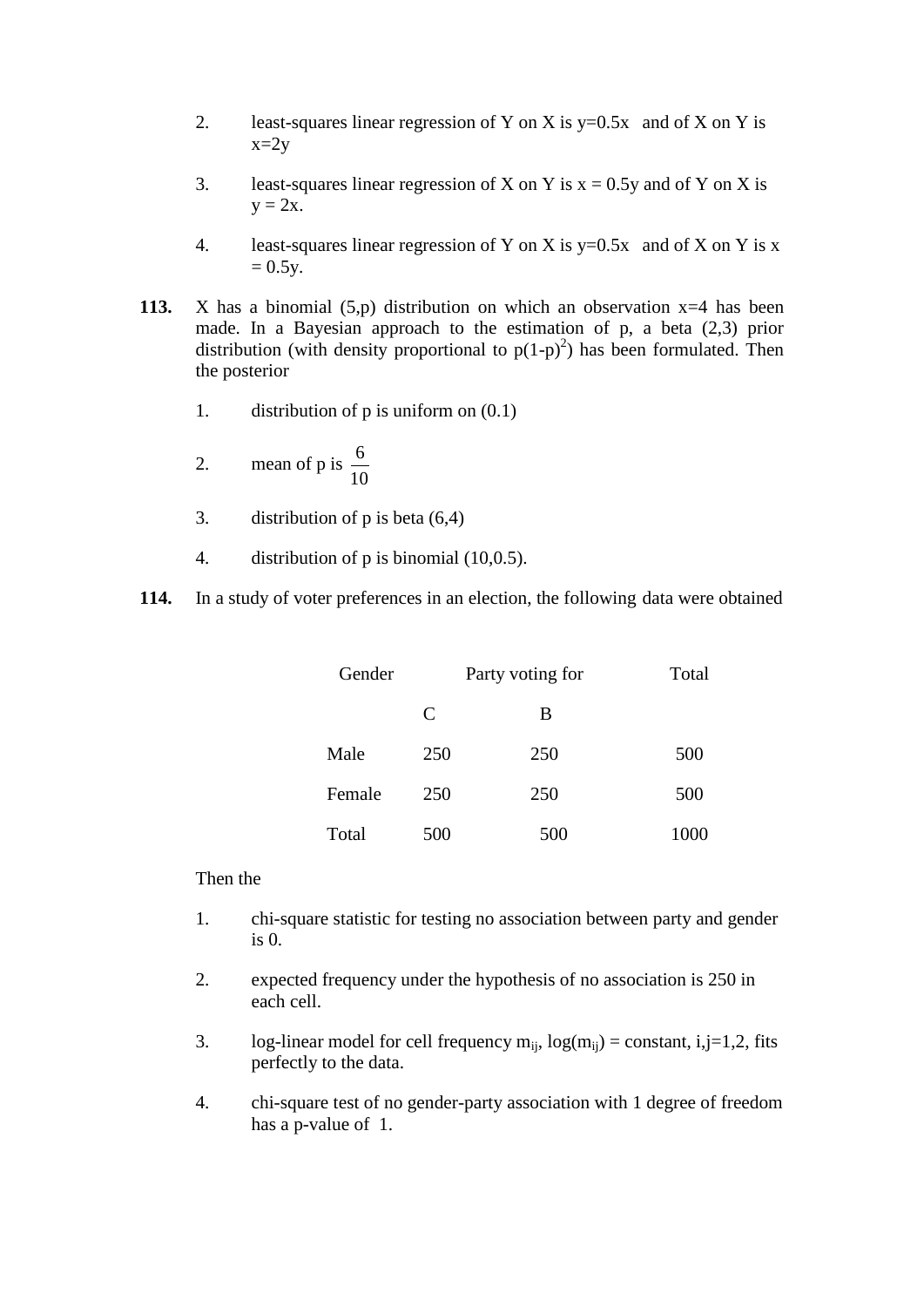- 2. least-squares linear regression of Y on X is  $y=0.5x$  and of X on Y is  $x=2y$
- 3. least-squares linear regression of X on Y is  $x = 0.5y$  and of Y on X is  $y = 2x$ .
- 4. least-squares linear regression of Y on X is  $y=0.5x$  and of X on Y is x  $= 0.5y.$
- **113.** X has a binomial (5,p) distribution on which an observation x=4 has been made. In a Bayesian approach to the estimation of p, a beta (2,3) prior distribution (with density proportional to  $p(1-p)^2$ ) has been formulated. Then the posterior
	- 1. distribution of p is uniform on (0.1)
	- 2. mean of p is  $\frac{6}{16}$ 10
	- 3. distribution of p is beta (6,4)
	- 4. distribution of p is binomial (10,0.5).

**114.** In a study of voter preferences in an election, the following data were obtained

| Gender | Party voting for | Total |      |
|--------|------------------|-------|------|
|        | C                | В     |      |
| Male   | 250              | 250   | 500  |
| Female | 250              | 250   | 500  |
| Total  | 500              | 500   | 1000 |

### Then the

- 1. chi-square statistic for testing no association between party and gender is 0.
- 2. expected frequency under the hypothesis of no association is 250 in each cell.
- 3. log-linear model for cell frequency  $m_{ii}$ ,  $log(m_{ii}) = constant$ , i,j=1,2, fits perfectly to the data.
- 4. chi-square test of no gender-party association with 1 degree of freedom has a p-value of 1.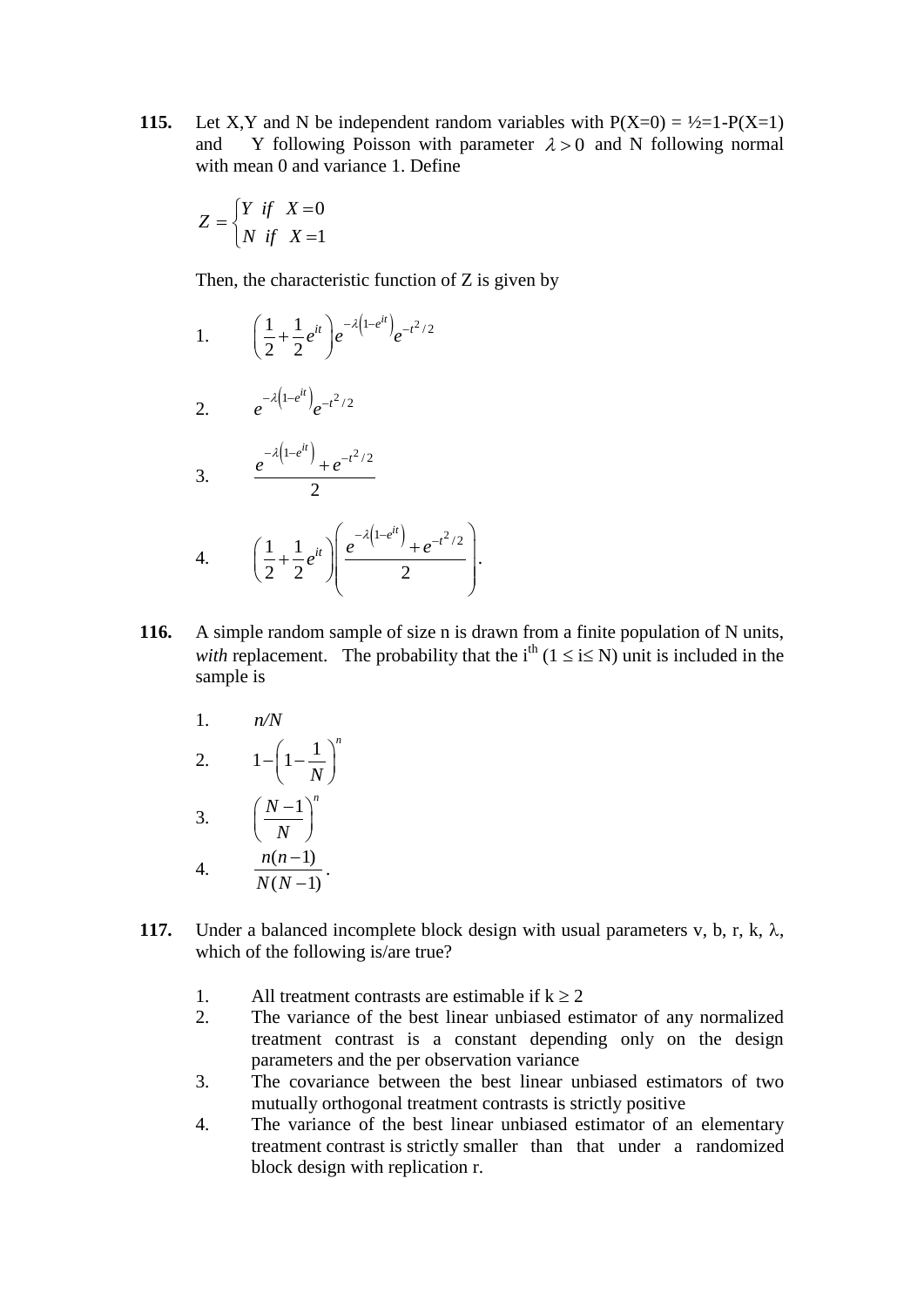**115.** Let X,Y and N be independent random variables with  $P(X=0) = \frac{1}{2} - P(X=1)$ and Y following Poisson with parameter  $\lambda > 0$  and N following normal with mean 0 and variance 1. Define

$$
Z = \begin{cases} Y & \text{if} \quad X = 0 \\ N & \text{if} \quad X = 1 \end{cases}
$$

Then, the characteristic function of Z is given by

1.  $\left(\frac{1}{2} + \frac{1}{2}e^{it}\right)e^{-\lambda\left(1-e^{it}\right)}e^{-t^2/2}$  $\frac{1}{2}$  +  $\frac{1}{2}$  $\left(\frac{1}{2} + \frac{1}{2}e^{it}\right)e^{-\lambda\left(1-e^{it}\right)}e^{-t}$  $\left(\frac{1}{2}+\frac{1}{2}e^{it}\right)e^{-\lambda}$ 

2. 
$$
e^{-\lambda(1-e^{it})}e^{-t^2/2}
$$

3. 
$$
\frac{e^{-\lambda(1-e^{it})}+e^{-t^2/2}}{2}
$$

4. 
$$
\left(\frac{1}{2} + \frac{1}{2}e^{it}\right)\left(\frac{e^{-\lambda\left(1-e^{it}\right)} + e^{-t^2/2}}{2}\right).
$$

*n*

- **116.** A simple random sample of size n is drawn from a finite population of N units, *with* replacement. The probability that the i<sup>th</sup> ( $1 \le i \le N$ ) unit is included in the sample is
	- 1. *n/N*

$$
2. \qquad 1 - \left(1 - \frac{1}{N}\right)^n
$$

3. 
$$
\left(\frac{N-1}{N}\right)^n
$$
  
4. 
$$
\frac{n(n-1)}{N(N-1)}.
$$

- **117.** Under a balanced incomplete block design with usual parameters v, b, r, k,  $\lambda$ , which of the following is/are true?
	- 1. All treatment contrasts are estimable if  $k > 2$
	- 2. The variance of the best linear unbiased estimator of any normalized treatment contrast is a constant depending only on the design parameters and the per observation variance
	- 3. The covariance between the best linear unbiased estimators of two mutually orthogonal treatment contrasts is strictly positive
	- 4. The variance of the best linear unbiased estimator of an elementary treatment contrast is strictly smaller than that under a randomized block design with replication r.